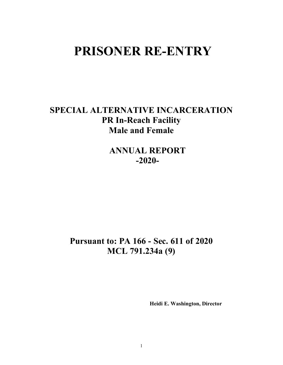# **PRISONER RE-ENTRY**

# **SPECIAL ALTERNATIVE INCARCERATION PR In-Reach Facility Male and Female**

**ANNUAL REPORT -2020-**

# **Pursuant to: PA 166 - Sec. 611 of 2020 MCL 791.234a (9)**

 **Heidi E. Washington, Director**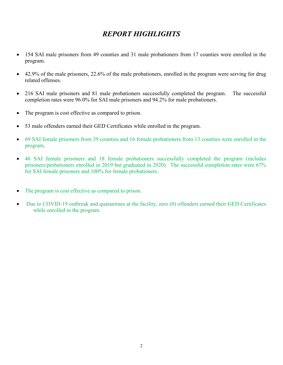# *REPORT HIGHLIGHTS*

- 154 SAI male prisoners from 49 counties and 31 male probationers from 17 counties were enrolled in the program.
- 42.9% of the male prisoners, 22.6% of the male probationers, enrolled in the program were serving for drug related offenses.
- 216 SAI male prisoners and 81 male probationers successfully completed the program. The successful completion rates were 96.0% for SAI male prisoners and 94.2% for male probationers.
- The program is cost effective as compared to prison.
- 53 male offenders earned their GED Certificates while enrolled in the program.
- 69 SAI female prisoners from 39 counties and 16 female probationers from 13 counties were enrolled in the program.
- 46 SAI female prisoners and 18 female probationers successfully completed the program (includes prisoners/probationers enrolled in 2019 but graduated in 2020). The successful completion rates were 67% for SAI female prisoners and 100% for female probationers.
- The program is cost effective as compared to prison.
- Due to COVID-19 outbreak and quarantines at the facility, zero (0) offenders earned their GED Certificates while enrolled in the program.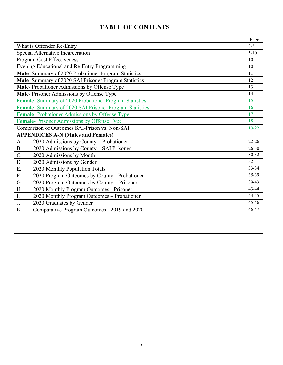# **TABLE OF CONTENTS**

|                                                         | Page      |
|---------------------------------------------------------|-----------|
| What is Offender Re-Entry                               | $3 - 5$   |
| Special Alternative Incarceration                       | $5 - 10$  |
| <b>Program Cost Effectiveness</b>                       | 10        |
| Evening Educational and Re-Entry Programming            | 10        |
| Male- Summary of 2020 Probationer Program Statistics    | 11        |
| Male- Summary of 2020 SAI Prisoner Program Statistics   | 12        |
| Male-Probationer Admissions by Offense Type             | 13        |
| Male-Prisoner Admissions by Offense Type                | 14        |
| Female- Summary of 2020 Probationer Program Statistics  | 15        |
| Female- Summary of 2020 SAI Prisoner Program Statistics | 16        |
| Female-Probationer Admissions by Offense Type           | 17        |
| Female-Prisoner Admissions by Offense Type              | 18        |
| Comparison of Outcomes SAI-Prison vs. Non-SAI           | $19 - 22$ |
| <b>APPENDICES A-N (Males and Females)</b>               |           |
| 2020 Admissions by County - Probationer<br>A.           | $22 - 26$ |
| 2020 Admissions by County - SAI Prisoner<br><b>B.</b>   | $26 - 30$ |
| $\mathcal{C}$ .<br>2020 Admissions by Month             | 30-32     |
| 2020 Admissions by Gender<br>D                          | 32        |
| E.<br>2020 Monthly Population Totals                    | $33 - 34$ |
| F.<br>2020 Program Outcomes by County - Probationer     | 35-39     |
| 2020 Program Outcomes by County - Prisoner<br>G.        | $39-43$   |
| 2020 Monthly Program Outcomes - Prisoner<br>H.          | 43-44     |
| 2020 Monthly Program Outcomes - Probationer<br>I.       | $44-45$   |
| 2020 Graduates by Gender<br>J.                          | 45-46     |
| Comparative Program Outcomes - 2019 and 2020<br>K.      | 46-47     |
|                                                         |           |
|                                                         |           |
|                                                         |           |
|                                                         |           |
|                                                         |           |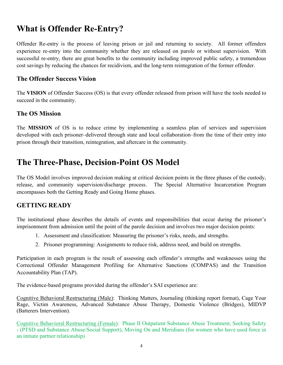# **What is Offender Re-Entry?**

Offender Re-entry is the process of leaving prison or jail and returning to society. All former offenders experience re-entry into the community whether they are released on parole or without supervision. With successful re-entry, there are great benefits to the community including improved public safety, a tremendous cost savings by reducing the chances for recidivism, and the long-term reintegration of the former offender.

#### **The Offender Success Vision**

The **VISION** of Offender Success (OS) is that every offender released from prison will have the tools needed to succeed in the community.

### **The OS Mission**

The **MISSION** of OS is to reduce crime by implementing a seamless plan of services and supervision developed with each prisoner–delivered through state and local collaboration–from the time of their entry into prison through their transition, reintegration, and aftercare in the community.

# **The Three-Phase, Decision-Point OS Model**

The OS Model involves improved decision making at critical decision points in the three phases of the custody, release, and community supervision/discharge process. The Special Alternative Incarceration Program encompasses both the Getting Ready and Going Home phases.

## **GETTING READY**

The institutional phase describes the details of events and responsibilities that occur during the prisoner's imprisonment from admission until the point of the parole decision and involves two major decision points:

- 1. Assessment and classification: Measuring the prisoner's risks, needs, and strengths.
- 2. Prisoner programming: Assignments to reduce risk, address need, and build on strengths.

Participation in each program is the result of assessing each offender's strengths and weaknesses using the Correctional Offender Management Profiling for Alternative Sanctions (COMPAS) and the Transition Accountability Plan (TAP).

The evidence-based programs provided during the offender's SAI experience are:

Cognitive Behavioral Restructuring (Male): Thinking Matters, Journaling (thinking report format), Cage Your Rage, Victim Awareness, Advanced Substance Abuse Therapy, Domestic Violence (Bridges), MIDVP (Batterers Intervention).

Cognitive Behavioral Restructuring (Female): Phase II Outpatient Substance Abuse Treatment, Seeking Safety - (PTSD and Substance Abuse/Social Support), Moving On and Meridians (for women who have used force in an inmate partner relationship)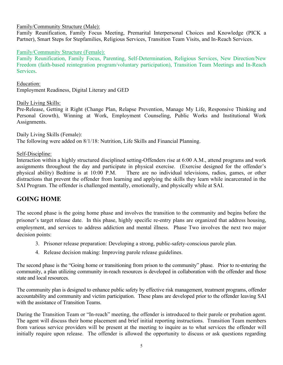#### Family/Community Structure (Male):

Family Reunification, Family Focus Meeting, Premarital Interpersonal Choices and Knowledge (PICK a Partner), Smart Steps for Stepfamilies, Religious Services, Transition Team Visits, and In-Reach Services.

#### Family/Community Structure (Female):

Family Reunification, Family Focus, Parenting, Self-Determination, Religious Services, New Direction/New Freedom (faith-based reintegration program/voluntary participation), Transition Team Meetings and In-Reach Services.

Education: Employment Readiness, Digital Literary and GED

#### Daily Living Skills:

Pre-Release, Getting it Right (Change Plan, Relapse Prevention, Manage My Life, Responsive Thinking and Personal Growth), Winning at Work, Employment Counseling, Public Works and Institutional Work Assignments.

Daily Living Skills (Female): The following were added on 8/1/18: Nutrition, Life Skills and Financial Planning.

#### Self-Discipline:

Interaction within a highly structured disciplined setting-Offenders rise at 6:00 A.M., attend programs and work assignments throughout the day and participate in physical exercise. (Exercise designed for the offender's physical ability) Bedtime is at 10:00 P.M. There are no individual televisions, radios, games, or other distractions that prevent the offender from learning and applying the skills they learn while incarcerated in the SAI Program. The offender is challenged mentally, emotionally, and physically while at SAI.

#### **GOING HOME**

The second phase is the going home phase and involves the transition to the community and begins before the prisoner's target release date. In this phase, highly specific re-entry plans are organized that address housing, employment, and services to address addiction and mental illness. Phase Two involves the next two major decision points:

- 3. Prisoner release preparation: Developing a strong, public-safety-conscious parole plan.
- 4. Release decision making: Improving parole release guidelines.

The second phase is the "Going home or transitioning from prison to the community" phase. Prior to re-entering the community, a plan utilizing community in-reach resources is developed in collaboration with the offender and those state and local resources.

The community plan is designed to enhance public safety by effective risk management, treatment programs, offender accountability and community and victim participation. These plans are developed prior to the offender leaving SAI with the assistance of Transition Teams.

During the Transition Team or "In-reach" meeting, the offender is introduced to their parole or probation agent. The agent will discuss their home placement and brief initial reporting instructions. Transition Team members from various service providers will be present at the meeting to inquire as to what services the offender will initially require upon release. The offender is allowed the opportunity to discuss or ask questions regarding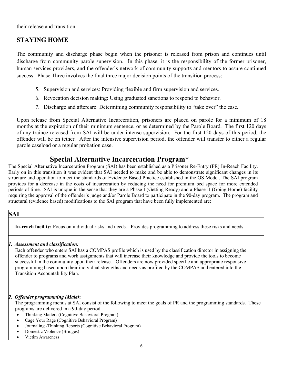their release and transition.

## **STAYING HOME**

The community and discharge phase begin when the prisoner is released from prison and continues until discharge from community parole supervision. In this phase, it is the responsibility of the former prisoner, human services providers, and the offender's network of community supports and mentors to assure continued success. Phase Three involves the final three major decision points of the transition process:

- 5. Supervision and services: Providing flexible and firm supervision and services.
- 6. Revocation decision making: Using graduated sanctions to respond to behavior.
- 7. Discharge and aftercare: Determining community responsibility to "take over" the case.

Upon release from Special Alternative Incarceration, prisoners are placed on parole for a minimum of 18 months at the expiration of their minimum sentence, or as determined by the Parole Board. The first 120 days of any trainee released from SAI will be under intense supervision. For the first 120 days of this period, the offender will be on tether. After the intensive supervision period, the offender will transfer to either a regular parole caseload or a regular probation case.

# **Special Alternative Incarceration Program\***

The Special Alternative Incarceration Program (SAI) has been established as a Prisoner Re-Entry (PR) In-Reach Facility. Early on in this transition it was evident that SAI needed to make and be able to demonstrate significant changes in its structure and operation to meet the standards of Evidence Based Practice established in the OS Model. The SAI program provides for a decrease in the costs of incarceration by reducing the need for premium bed space for more extended periods of time. SAI is unique in the sense that they are a Phase I (Getting Ready) and a Phase II (Going Home) facility requiring the approval of the offender's judge and/or Parole Board to participate in the 90-day program. The program and structural (evidence based) modifications to the SAI program that have been fully implemented are:

### **SAI**

**In-reach facility:** Focus on individual risks and needs. Provides programming to address these risks and needs.

#### *1. Assessment and classification:*

Each offender who enters SAI has a COMPAS profile which is used by the classification director in assigning the offender to programs and work assignments that will increase their knowledge and provide the tools to become successful in the community upon their release. Offenders are now provided specific and appropriate responsive programming based upon their individual strengths and needs as profiled by the COMPAS and entered into the Transition Accountability Plan.

#### *2. Offender programming (Male)***:**

The programming menus at SAI consist of the following to meet the goals of PR and the programming standards. These programs are delivered in a 90-day period.

- Thinking Matters (Cognitive Behavioral Program)
- Cage Your Rage (Cognitive Behavioral Program)
- Journaling -Thinking Reports (Cognitive Behavioral Program)
- Domestic Violence (Bridges)
- Victim Awareness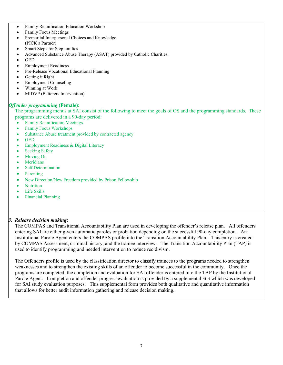- Family Reunification Education Workshop
- Family Focus Meetings
- Premarital Interpersonal Choices and Knowledge (PICK a Partner)
- Smart Steps for Stepfamilies
- Advanced Substance Abuse Therapy (ASAT) provided by Catholic Charities.
- GED
- **Employment Readiness**
- Pre-Release Vocational Educational Planning
- Getting it Right
- **Employment Counseling**
- Winning at Work
- MIDVP (Batterers Intervention)

#### *Offender programming* **(Female):**

The programming menus at SAI consist of the following to meet the goals of OS and the programming standards. These programs are delivered in a 90-day period:

- Family Reunification Meetings
- Family Focus Workshops
- Substance Abuse treatment provided by contracted agency
- GED
- Employment Readiness & Digital Literacy
- Seeking Safety
- Moving On
- **Meridians**
- **Self Determination**
- **Parenting**
- New Direction/New Freedom provided by Prison Fellowship
- Nutrition
- Life Skills
- Financial Planning

#### *3. Release decision making***:**

The COMPAS and Transitional Accountability Plan are used in developing the offender's release plan. All offenders entering SAI are either given automatic paroles or probation depending on the successful 90-day completion. An Institutional Parole Agent enters the COMPAS profile into the Transition Accountability Plan. This entry is created by COMPAS Assessment, criminal history, and the trainee interview. The Transition Accountability Plan (TAP) is used to identify programming and needed intervention to reduce recidivism.

The Offenders profile is used by the classification director to classify trainees to the programs needed to strengthen weaknesses and to strengthen the existing skills of an offender to become successful in the community. Once the programs are completed, the completion and evaluation for SAI offender is entered into the TAP by the Institutional Parole Agent. Completion and offender progress evaluation is provided by a supplemental 363 which was developed for SAI study evaluation purposes. This supplemental form provides both qualitative and quantitative information that allows for better audit information gathering and release decision making.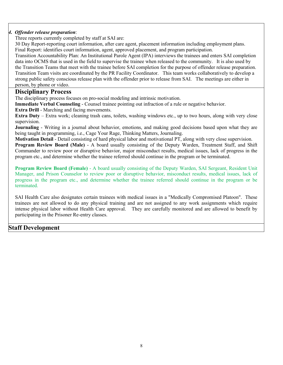#### *4. Offender release preparation*:

Three reports currently completed by staff at SAI are:

30 Day Report-reporting court information, after care agent, placement information including employment plans. Final Report: identifies court information, agent, approved placement, and program participation.

Transition Accountability Plan: An Institutional Parole Agent (IPA) interviews the trainees and enters SAI completion data into OCMS that is used in the field to supervise the trainee when released to the community. It is also used by the Transition Teams that meet with the trainee before SAI completion for the purpose of offender release preparation. Transition Team visits are coordinated by the PR Facility Coordinator. This team works collaboratively to develop a strong public safety conscious release plan with the offender prior to release from SAI. The meetings are either in person, by phone or video.

#### **Disciplinary Process**

The disciplinary process focuses on pro-social modeling and intrinsic motivation.

**Immediate Verbal Counseling** - Counsel trainee pointing out infraction of a rule or negative behavior.

**Extra Drill** - Marching and facing movements.

**Extra Duty** – Extra work; cleaning trash cans, toilets, washing windows etc., up to two hours, along with very close supervision.

**Journaling** - Writing in a journal about behavior, emotions, and making good decisions based upon what they are being taught in programming, i.e., Cage Your Rage, Thinking Matters, Journaling.

**Motivation Detail** - Detail consisting of hard physical labor and motivational PT, along with very close supervision. **Program Review Board (Male)** - A board usually consisting of the Deputy Warden, Treatment Staff, and Shift

Commander to review poor or disruptive behavior, major misconduct results, medical issues, lack of progress in the program etc., and determine whether the trainee referred should continue in the program or be terminated.

**Program Review Board (Female)** - A board usually consisting of the Deputy Warden, SAI Sergeant, Resident Unit Manager, and Prison Counselor to review poor or disruptive behavior, misconduct results, medical issues, lack of progress in the program etc., and determine whether the trainee referred should continue in the program or be terminated.

SAI Health Care also designates certain trainees with medical issues in a "Medically Compromised Platoon". These trainees are not allowed to do any physical training and are not assigned to any work assignments which require intense physical labor without Health Care approval. They are carefully monitored and are allowed to benefit by participating in the Prisoner Re-entry classes.

#### **Staff Development**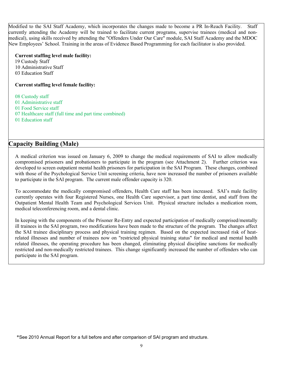Modified to the SAI Staff Academy, which incorporates the changes made to become a PR In-Reach Facility. Staff currently attending the Academy will be trained to facilitate current programs, supervise trainees (medical and nonmedical), using skills received by attending the "Offenders Under Our Care" module, SAI Staff Academy and the MDOC New Employees' School. Training in the areas of Evidence Based Programming for each facilitator is also provided.

#### **Current staffing level male facility:**

 19 Custody Staff 10 Administrative Staff 03 Education Staff

#### **Current staffing level female facility:**

08 Custody staff

- 01 Administrative staff
- 01 Food Service staff
- 07 Healthcare staff (full time and part time combined)
- 01 Education staff

### **Capacity Building (Male)**

A medical criterion was issued on January 6, 2009 to change the medical requirements of SAI to allow medically compromised prisoners and probationers to participate in the program (see Attachment 2). Further criterion was developed to screen outpatient mental health prisoners for participation in the SAI Program. These changes, combined with those of the Psychological Service Unit screening criteria, have now increased the number of prisoners available to participate in the SAI program. The current male offender capacity is 320.

To accommodate the medically compromised offenders, Health Care staff has been increased. SAI's male facility currently operates with four Registered Nurses, one Health Care supervisor, a part time dentist, and staff from the Outpatient Mental Health Team and Psychological Services Unit. Physical structure includes a medication room, medical teleconferencing room, and a dental clinic.

In keeping with the components of the Prisoner Re-Entry and expected participation of medically comprised/mentally ill trainees in the SAI program, two modifications have been made to the structure of the program. The changes affect the SAI trainee disciplinary process and physical training regimen. Based on the expected increased risk of heatrelated illnesses and number of trainees now on "restricted physical training status" for medical and mental health related illnesses, the operating procedure has been changed, eliminating physical discipline sanctions for medically restricted and non-medically restricted trainees. This change significantly increased the number of offenders who can participate in the SAI program.

\*See 2010 Annual Report for a full before and after comparison of SAI program and structure.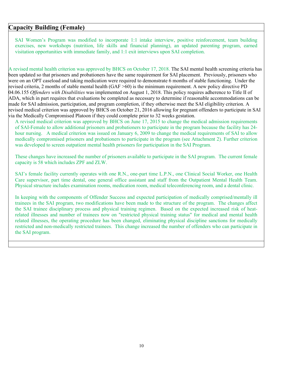#### **Capacity Building (Female)**

SAI Women's Program was modified to incorporate 1:1 intake interview, positive reinforcement, team building exercises, new workshops (nutrition, life skills and financial planning), an updated parenting program, earned visitation opportunities with immediate family, and 1:1 exit interviews upon SAI completion.

A revised mental health criterion was approved by BHCS on October 17, 2018. The SAI mental health screening criteria has been updated so that prisoners and probationers have the same requirement for SAI placement. Previously, prisoners who were on an OPT caseload and taking medication were required to demonstrate 6 months of stable functioning. Under the revised criteria, 2 months of stable mental health (GAF >60) is the minimum requirement. A new policy directive PD 04.06.155 *Offenders with Disabilities* was implemented on August 1, 2018. This policy requires adherence to Title II of ADA, which in part requires that evaluations be completed as necessary to determine if reasonable accommodations can be made for SAI admission, participation, and program completion, if they otherwise meet the SAI eligibility criterion. A revised medical criterion was approved by BHCS on October 21, 2016 allowing for pregnant offenders to participate in SAI via the Medically Compromised Platoon if they could complete prior to 32 weeks gestation.

A revised medical criterion was approved by BHCS on June 17, 2015 to change the medical admission requirements of SAI-Female to allow additional prisoners and probationers to participate in the program because the facility has 24 hour nursing. A medical criterion was issued on January 6, 2009 to change the medical requirements of SAI to allow medically compromised prisoners and probationers to participate in the program (see Attachment 2). Further criterion was developed to screen outpatient mental health prisoners for participation in the SAI Program.

These changes have increased the number of prisoners available to participate in the SAI program. The current female capacity is 58 which includes ZPF and ZLW.

SAI's female facility currently operates with one R.N., one-part time L.P.N., one Clinical Social Worker, one Health Care supervisor, part time dental, one general office assistant and staff from the Outpatient Mental Health Team. Physical structure includes examination rooms, medication room, medical teleconferencing room, and a dental clinic.

In keeping with the components of Offender Success and expected participation of medically comprised/mentally ill trainees in the SAI program, two modifications have been made to the structure of the program. The changes affect the SAI trainee disciplinary process and physical training regimen. Based on the expected increased risk of heatrelated illnesses and number of trainees now on "restricted physical training status" for medical and mental health related illnesses, the operating procedure has been changed, eliminating physical discipline sanctions for medically restricted and non-medically restricted trainees. This change increased the number of offenders who can participate in the SAI program.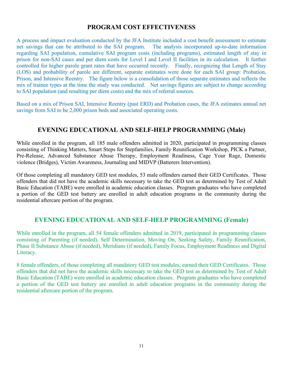### **PROGRAM COST EFFECTIVENESS**

A process and impact evaluation conducted by the JFA Institute included a cost benefit assessment to estimate net savings that can be attributed to the SAI program. The analysis incorporated up-to-date information regarding SAI population, cumulative SAI program costs (including programs), estimated length of stay in prison for non-SAI cases and per diem costs for Level I and Level II facilities in its calculation. It further controlled for higher parole grant rates that have occurred recently. Finally, recognizing that Length of Stay (LOS) and probability of parole are different, separate estimates were done for each SAI group: Probation, Prison, and Intensive Reentry. The figure below is a consolidation of those separate estimates and reflects the mix of trainee types at the time the study was conducted. Net savings figures are subject to change according to SAI population (and resulting per diem costs) and the mix of referral sources.

Based on a mix of Prison SAI, Intensive Reentry (past ERD) and Probation cases, the JFA estimates annual net savings from SAI to be 2,000 prison beds and associated operating costs.

### **EVENING EDUCATIONAL AND SELF-HELP PROGRAMMING (Male)**

While enrolled in the program, all 185 male offenders admitted in 2020, participated in programming classes consisting of Thinking Matters, Smart Steps for Stepfamilies, Family Reunification Workshop, PICK a Partner, Pre-Release, Advanced Substance Abuse Therapy, Employment Readiness, Cage Your Rage, Domestic violence (Bridges), Victim Awareness, Journaling and MIDVP (Batterers Intervention).

Of those completing all mandatory GED test modules, 53 male offenders earned their GED Certificates. Those offenders that did not have the academic skills necessary to take the GED test as determined by Test of Adult Basic Education (TABE) were enrolled in academic education classes. Program graduates who have completed a portion of the GED test battery are enrolled in adult education programs in the community during the residential aftercare portion of the program.

#### **EVENING EDUCATIONAL AND SELF-HELP PROGRAMMING (Female)**

While enrolled in the program, all 54 female offenders admitted in 2019, participated in programming classes consisting of Parenting (if needed), Self Determination, Moving On, Seeking Safety, Family Reunification, Phase II Substance Abuse (if needed), Meridians (if needed), Family Focus, Employment Readiness and Digital Literacy.

8 female offenders, of those completing all mandatory GED test modules, earned their GED Certificates. Those offenders that did not have the academic skills necessary to take the GED test as determined by Test of Adult Basic Education (TABE) were enrolled in academic education classes. Program graduates who have completed a portion of the GED test battery are enrolled in adult education programs in the community during the residential aftercare portion of the program.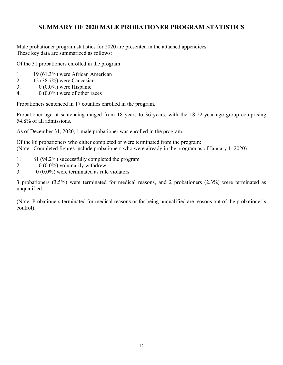## **SUMMARY OF 2020 MALE PROBATIONER PROGRAM STATISTICS**

Male probationer program statistics for 2020 are presented in the attached appendices. These key data are summarized as follows:

Of the 31 probationers enrolled in the program:

- 1. 19 (61.3%) were African American
- 2. 12 (38.7%) were Caucasian
- 3.  $0(0.0\%)$  were Hispanic
- 4.  $0(0.0\%)$  were of other races

Probationers sentenced in 17 counties enrolled in the program.

Probationer age at sentencing ranged from 18 years to 36 years, with the 18-22-year age group comprising 54.8% of all admissions.

As of December 31, 2020, 1 male probationer was enrolled in the program.

Of the 86 probationers who either completed or were terminated from the program: (Note: Completed figures include probationers who were already in the program as of January 1, 2020).

- 1. 81 (94.2%) successfully completed the program
- 2.  $0(0.0\%)$  voluntarily withdrew
- 3.  $0 \ (0.0\%)$  were terminated as rule violators

3 probationers (3.5%) were terminated for medical reasons, and 2 probationers (2.3%) were terminated as unqualified.

(Note: Probationers terminated for medical reasons or for being unqualified are reasons out of the probationer's control).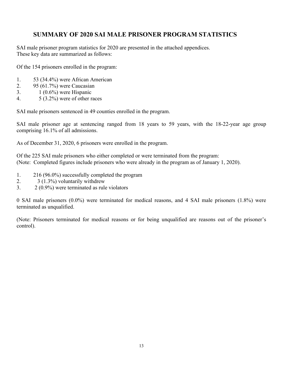### **SUMMARY OF 2020 SAI MALE PRISONER PROGRAM STATISTICS**

SAI male prisoner program statistics for 2020 are presented in the attached appendices. These key data are summarized as follows:

Of the 154 prisoners enrolled in the program:

- 1. 53 (34.4%) were African American
- 2. 95 (61.7%) were Caucasian
- 3.  $1 (0.6\%)$  were Hispanic
- 4. 5 (3.2%) were of other races

SAI male prisoners sentenced in 49 counties enrolled in the program.

SAI male prisoner age at sentencing ranged from 18 years to 59 years, with the 18-22-year age group comprising 16.1% of all admissions.

As of December 31, 2020, 6 prisoners were enrolled in the program.

Of the 225 SAI male prisoners who either completed or were terminated from the program: (Note: Completed figures include prisoners who were already in the program as of January 1, 2020).

- 1. 216 (96.0%) successfully completed the program
- 2. 3 (1.3%) voluntarily withdrew
- 3. 2 (0.9%) were terminated as rule violators

0 SAI male prisoners (0.0%) were terminated for medical reasons, and 4 SAI male prisoners (1.8%) were terminated as unqualified.

(Note: Prisoners terminated for medical reasons or for being unqualified are reasons out of the prisoner's control).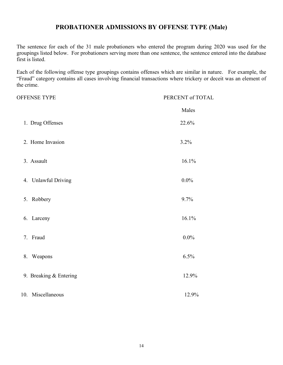### **PROBATIONER ADMISSIONS BY OFFENSE TYPE (Male)**

The sentence for each of the 31 male probationers who entered the program during 2020 was used for the groupings listed below. For probationers serving more than one sentence, the sentence entered into the database first is listed.

Each of the following offense type groupings contains offenses which are similar in nature. For example, the "Fraud" category contains all cases involving financial transactions where trickery or deceit was an element of the crime.

| <b>OFFENSE TYPE</b>    | PERCENT of TOTAL |
|------------------------|------------------|
|                        | Males            |
| 1. Drug Offenses       | 22.6%            |
| 2. Home Invasion       | 3.2%             |
| 3. Assault             | 16.1%            |
| 4. Unlawful Driving    | $0.0\%$          |
| Robbery<br>5.          | 9.7%             |
| 6. Larceny             | 16.1%            |
| 7. Fraud               | $0.0\%$          |
| 8. Weapons             | 6.5%             |
| 9. Breaking & Entering | 12.9%            |
| 10. Miscellaneous      | 12.9%            |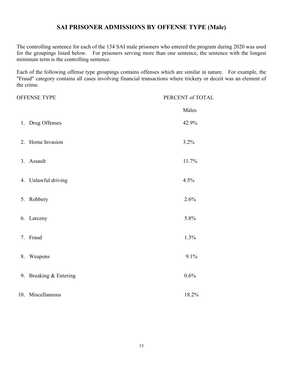### **SAI PRISONER ADMISSIONS BY OFFENSE TYPE (Male)**

The controlling sentence for each of the 154 SAI male prisoners who entered the program during 2020 was used for the groupings listed below. For prisoners serving more than one sentence, the sentence with the longest minimum term is the controlling sentence.

Each of the following offense type groupings contains offenses which are similar in nature. For example, the "Fraud" category contains all cases involving financial transactions where trickery or deceit was an element of the crime.

| <b>OFFENSE TYPE</b>    | PERCENT of TOTAL |
|------------------------|------------------|
|                        | Males            |
| 1. Drug Offenses       | 42.9%            |
| 2. Home Invasion       | 3.2%             |
| 3. Assault             | 11.7%            |
| 4. Unlawful driving    | 4.5%             |
| 5. Robbery             | 2.6%             |
| 6. Larceny             | 5.8%             |
| 7. Fraud               | 1.3%             |
| 8. Weapons             | 9.1%             |
| 9. Breaking & Entering | 0.6%             |
| 10. Miscellaneous      | 18.2%            |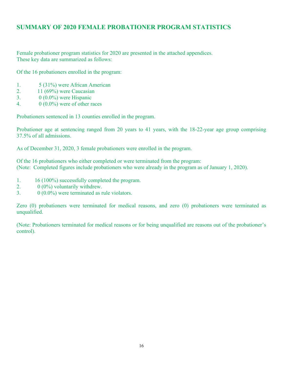## **SUMMARY OF 2020 FEMALE PROBATIONER PROGRAM STATISTICS**

Female probationer program statistics for 2020 are presented in the attached appendices. These key data are summarized as follows:

Of the 16 probationers enrolled in the program:

- 1. 5 (31%) were African American
- 2. 11 (69%) were Caucasian
- 3. 0 (0.0%) were Hispanic
- 4.  $0(0.0\%)$  were of other races

Probationers sentenced in 13 counties enrolled in the program.

Probationer age at sentencing ranged from 20 years to 41 years, with the 18-22-year age group comprising 37.5% of all admissions.

As of December 31, 2020, 3 female probationers were enrolled in the program.

Of the 16 probationers who either completed or were terminated from the program: (Note: Completed figures include probationers who were already in the program as of January 1, 2020).

- 1. 16 (100%) successfully completed the program.
- 2.  $0 \ (0\%)$  voluntarily withdrew.
- 3.  $0(0.0\%)$  were terminated as rule violators.

Zero (0) probationers were terminated for medical reasons, and zero (0) probationers were terminated as unqualified.

(Note: Probationers terminated for medical reasons or for being unqualified are reasons out of the probationer's control).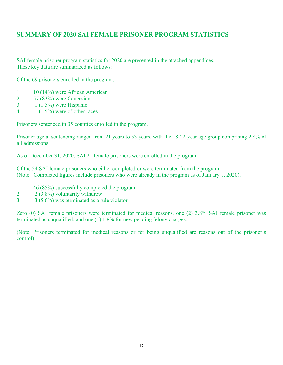### **SUMMARY OF 2020 SAI FEMALE PRISONER PROGRAM STATISTICS**

SAI female prisoner program statistics for 2020 are presented in the attached appendices. These key data are summarized as follows:

Of the 69 prisoners enrolled in the program:

- 1. 10 (14%) were African American
- 2. 57 (83%) were Caucasian
- 3.  $1(1.5\%)$  were Hispanic
- 4.  $1(1.5\%)$  were of other races

Prisoners sentenced in 35 counties enrolled in the program.

Prisoner age at sentencing ranged from 21 years to 53 years, with the 18-22-year age group comprising 2.8% of all admissions.

As of December 31, 2020, SAI 21 female prisoners were enrolled in the program.

Of the 54 SAI female prisoners who either completed or were terminated from the program: (Note: Completed figures include prisoners who were already in the program as of January 1, 2020).

- 1. 46 (85%) successfully completed the program
- 2. 2 (3.8%) voluntarily withdrew
- 3. 3 (5.6%) was terminated as a rule violator

Zero (0) SAI female prisoners were terminated for medical reasons, one (2) 3.8% SAI female prisoner was terminated as unqualified; and one (1) 1.8% for new pending felony charges.

(Note: Prisoners terminated for medical reasons or for being unqualified are reasons out of the prisoner's control).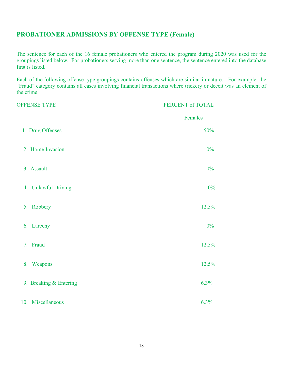# **PROBATIONER ADMISSIONS BY OFFENSE TYPE (Female)**

The sentence for each of the 16 female probationers who entered the program during 2020 was used for the groupings listed below. For probationers serving more than one sentence, the sentence entered into the database first is listed.

Each of the following offense type groupings contains offenses which are similar in nature. For example, the "Fraud" category contains all cases involving financial transactions where trickery or deceit was an element of the crime.

| <b>OFFENSE TYPE</b>    | PERCENT of TOTAL |
|------------------------|------------------|
|                        | Females          |
| 1. Drug Offenses       | 50%              |
| 2. Home Invasion       | $0\%$            |
| 3. Assault             | 0%               |
| 4. Unlawful Driving    | $0\%$            |
| 5. Robbery             | 12.5%            |
| 6. Larceny             | 0%               |
| 7. Fraud               | 12.5%            |
| 8. Weapons             | 12.5%            |
| 9. Breaking & Entering | 6.3%             |
| 10. Miscellaneous      | 6.3%             |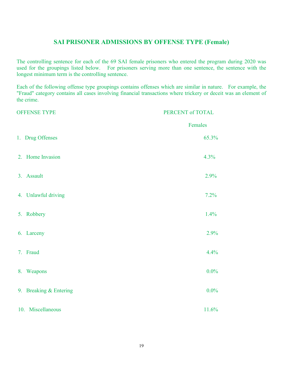#### **SAI PRISONER ADMISSIONS BY OFFENSE TYPE (Female)**

The controlling sentence for each of the 69 SAI female prisoners who entered the program during 2020 was used for the groupings listed below. For prisoners serving more than one sentence, the sentence with the longest minimum term is the controlling sentence.

Each of the following offense type groupings contains offenses which are similar in nature. For example, the "Fraud" category contains all cases involving financial transactions where trickery or deceit was an element of the crime.

| <b>OFFENSE TYPE</b>    | PERCENT of TOTAL |
|------------------------|------------------|
|                        | Females          |
| 1. Drug Offenses       | 65.3%            |
| 2. Home Invasion       | 4.3%             |
| 3. Assault             | 2.9%             |
| 4. Unlawful driving    | 7.2%             |
| 5. Robbery             | 1.4%             |
| 6. Larceny             | 2.9%             |
| 7. Fraud               | 4.4%             |
| 8. Weapons             | $0.0\%$          |
| 9. Breaking & Entering | $0.0\%$          |
| 10. Miscellaneous      | 11.6%            |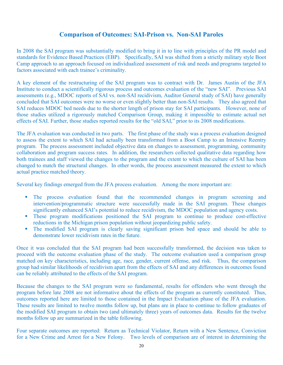#### **Comparison of Outcomes: SAI-Prison vs. Non-SAI Paroles**

In 2008 the SAI program was substantially modified to bring it in to line with principles of the PR model and standards for Evidence Based Practices (EBP). Specifically, SAI was shifted from a strictly military style Boot Camp approach to an approach focused on individualized assessment of risk and needs and programs targeted to factors associated with each trainee's criminality.

A key element of the restructuring of the SAI program was to contract with Dr. James Austin of the JFA Institute to conduct a scientifically rigorous process and outcomes evaluation of the "new SAI". Previous SAI assessments (e.g., MDOC reports of SAI vs. non-SAI recidivism, Auditor General study of SAI) have generally concluded that SAI outcomes were no worse or even slightly better than non-SAI results. They also agreed that SAI reduces MDOC bed needs due to the shorter length of prison stay for SAI participants. However, none of those studies utilized a rigorously matched Comparison Group, making it impossible to estimate actual net effects of SAI. Further, those studies reported results for the "old SAI," prior to its 2008 modifications.

The JFA evaluation was conducted in two parts. The first phase of the study was a process evaluation designed to assess the extent to which SAI had actually been transformed from a Boot Camp to an Intensive Reentry program. The process assessment included objective data on changes to assessment, programming, community collaboration and program success rates. In addition, the researchers collected qualitative data regarding how both trainees and staff viewed the changes to the program and the extent to which the culture of SAI has been changed to match the structural changes. In other words, the process assessment measured the extent to which actual practice matched theory.

Several key findings emerged from the JFA process evaluation. Among the more important are:

- The process evaluation found that the recommended changes in program screening and intervention/programmatic structure were successfully made in the SAI program. These changes significantly enhanced SAI's potential to reduce recidivism, the MDOC population and agency costs.
- These program modifications positioned the SAI program to continue to produce cost-effective reductions in the Michigan prison population without jeopardizing public safety.
- The modified SAI program is clearly saving significant prison bed space and should be able to demonstrate lower recidivism rates in the future.

Once it was concluded that the SAI program had been successfully transformed, the decision was taken to proceed with the outcome evaluation phase of the study. The outcome evaluation used a comparison group matched on key characteristics, including age, race, gender, current offense, and risk. Thus, the comparison group had similar likelihoods of recidivism apart from the effects of SAI and any differences in outcomes found can be reliably attributed to the effects of the SAI program.

Because the changes to the SAI program were so fundamental, results for offenders who went through the program before late 2008 are not informative about the effects of the program as currently constituted. Thus, outcomes reported here are limited to those contained in the Impact Evaluation phase of the JFA evaluation. These results are limited to twelve months follow up, but plans are in place to continue to follow graduates of the modified SAI program to obtain two (and ultimately three) years of outcomes data. Results for the twelve months follow up are summarized in the table following.

Four separate outcomes are reported: Return as Technical Violator, Return with a New Sentence, Conviction for a New Crime and Arrest for a New Felony. Two levels of comparison are of interest in determining the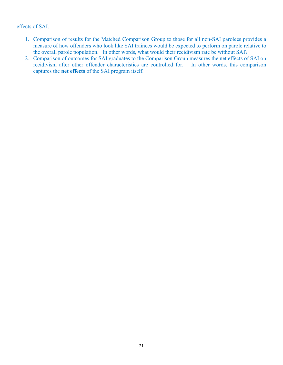#### effects of SAI.

- 1. Comparison of results for the Matched Comparison Group to those for all non-SAI parolees provides a measure of how offenders who look like SAI trainees would be expected to perform on parole relative to the overall parole population. In other words, what would their recidivism rate be without SAI?
- 2. Comparison of outcomes for SAI graduates to the Comparison Group measures the net effects of SAI on recidivism after other offender characteristics are controlled for. In other words, this comparison captures the **net effects** of the SAI program itself.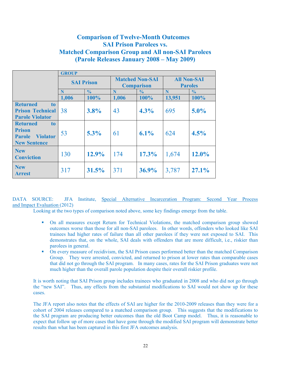## **Comparison of Twelve-Month Outcomes SAI Prison Parolees vs. Matched Comparison Group and All non-SAI Parolees (Parole Releases January 2008 – May 2009)**

|                                                                                                               | <b>GROUP</b>      |               |                                             |               |                                      |               |
|---------------------------------------------------------------------------------------------------------------|-------------------|---------------|---------------------------------------------|---------------|--------------------------------------|---------------|
|                                                                                                               | <b>SAI Prison</b> |               | <b>Matched Non-SAI</b><br><b>Comparison</b> |               | <b>All Non-SAI</b><br><b>Paroles</b> |               |
|                                                                                                               | N                 | $\frac{0}{0}$ | N                                           | $\frac{0}{0}$ | N                                    | $\frac{6}{6}$ |
|                                                                                                               | 1,006             | 100%          | 1,006                                       | 100%          | 13,951                               | 100%          |
| <b>Returned</b><br>to<br><b>Prison Technical</b><br><b>Parole Violator</b>                                    | 38                | 3.8%          | 43                                          | 4.3%          | 695                                  | $5.0\%$       |
| <b>Returned</b><br>t <sub>0</sub><br><b>Prison</b><br><b>Violator</b><br><b>Parole</b><br><b>New Sentence</b> | 53                | $5.3\%$       | 61                                          | $6.1\%$       | 624                                  | 4.5%          |
| <b>New</b><br><b>Conviction</b>                                                                               | 130               | 12.9%         | 174                                         | 17.3%         | 1,674                                | $12.0\%$      |
| <b>New</b><br><b>Arrest</b>                                                                                   | 317               | 31.5%         | 371                                         | $36.9\%$      | 3,787                                | 27.1%         |

DATA SOURCE: JFA Institute, Special Alternative Incarceration Program: Second Year Process and Impact Evaluation (2012)

Looking at the two types of comparison noted above, some key findings emerge from the table.

- On all measures except Return for Technical Violations, the matched comparison group showed outcomes worse than those for all non-SAI parolees. In other words, offenders who looked like SAI trainees had higher rates of failure than all other parolees if they were not exposed to SAI. This demonstrates that, on the whole, SAI deals with offenders that are more difficult, i.e., riskier than parolees in general.
- On every measure of recidivism, the SAI Prison cases performed better than the matched Comparison Group. They were arrested, convicted, and returned to prison at lower rates than comparable cases that did not go through the SAI program. In many cases, rates for the SAI Prison graduates were not much higher than the overall parole population despite their overall riskier profile.

It is worth noting that SAI Prison group includes trainees who graduated in 2008 and who did not go through the "new SAI". Thus, any effects from the substantial modifications to SAI would not show up for these cases.

The JFA report also notes that the effects of SAI are higher for the 2010-2009 releases than they were for a cohort of 2004 releases compared to a matched comparison group. This suggests that the modifications to the SAI program are producing better outcomes than the old Boot Camp model. Thus, it is reasonable to expect that follow up of more cases that have gone through the modified SAI program will demonstrate better results than what has been captured in this first JFA outcomes analysis.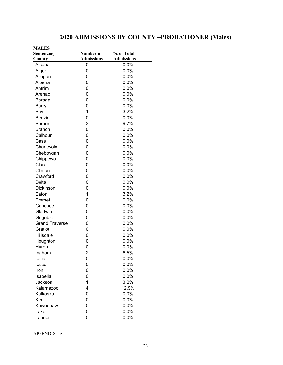# **2020 ADMISSIONS BY COUNTY –PROBATIONER (Males)**

| <b>MALES</b>          |                   |                   |
|-----------------------|-------------------|-------------------|
| Sentencing            | Number of         | % of Total        |
| <b>County</b>         | <b>Admissions</b> | <b>Admissions</b> |
| Alcona                | 0                 | 0.0%              |
| Alger                 | 0                 | 0.0%              |
| Allegan               | 0                 | 0.0%              |
| Alpena                | 0                 | 0.0%              |
| Antrim                | 0                 | 0.0%              |
| Arenac                | 0                 | 0.0%              |
| Baraga                | 0                 | 0.0%              |
| Barry                 | 0                 | 0.0%              |
| Bay                   | 1                 | 3.2%              |
| <b>Benzie</b>         | 0                 | 0.0%              |
| <b>Berrien</b>        | 3                 | 9.7%              |
| <b>Branch</b>         | 0                 | 0.0%              |
| Calhoun               | 0                 | 0.0%              |
| Cass                  | 0                 | 0.0%              |
| Charlevoix            | 0                 | 0.0%              |
| Cheboygan             | 0                 | 0.0%              |
| Chippewa              | 0                 | 0.0%              |
| Clare                 | 0                 | 0.0%              |
| Clinton               | 0                 | 0.0%              |
| Crawford              | 0                 | 0.0%              |
| Delta                 | 0                 | 0.0%              |
| Dickinson             | 0                 | 0.0%              |
| Eaton                 | 1                 | 3.2%              |
| Emmet                 | 0                 | 0.0%              |
| Genesee               | 0                 | 0.0%              |
| Gladwin               | 0                 | 0.0%              |
| Gogebic               | 0                 | 0.0%              |
| <b>Grand Traverse</b> | 0                 | 0.0%              |
| Gratiot               | 0                 | 0.0%              |
| Hillsdale             | 0                 | 0.0%              |
| Houghton              | 0                 | 0.0%              |
| Huron                 | 0                 | 0.0%              |
| Ingham                | $\overline{c}$    | 6.5%              |
| Ionia                 | 0                 | 0.0%              |
| losco                 | 0                 | 0.0%              |
| Iron                  | 0                 | 0.0%              |
| Isabella              | 0                 | 0.0%              |
| Jackson               | 1                 | 3.2%              |
| Kalamazoo             | 4                 | 12.9%             |
| Kalkaska              | 0                 | 0.0%              |
| Kent                  | 0                 | 0.0%              |
| Keweenaw              | 0                 | 0.0%              |
| Lake                  | 0                 | 0.0%              |
| Lapeer                | 0                 | 0.0%              |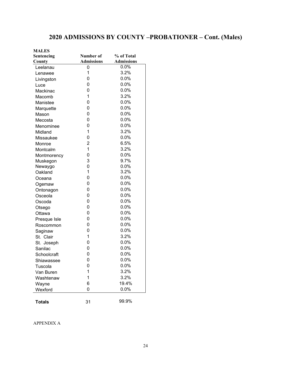# **2020 ADMISSIONS BY COUNTY –PROBATIONER – Cont. (Males)**

| <b>MALES</b>  |                   |                   |
|---------------|-------------------|-------------------|
| Sentencing    | Number of         | % of Total        |
| County        | <b>Admissions</b> | <b>Admissions</b> |
| Leelanau      | 0                 | 0.0%              |
| Lenawee       | 1                 | 3.2%              |
| Livingston    | 0                 | 0.0%              |
| Luce          | 0                 | 0.0%              |
| Mackinac      | 0                 | 0.0%              |
| Macomb        | 1                 | 3.2%              |
| Manistee      | 0                 | 0.0%              |
| Marquette     | 0                 | 0.0%              |
| Mason         | 0                 | 0.0%              |
| Mecosta       | 0                 | 0.0%              |
| Menominee     | 0                 | 0.0%              |
| Midland       | 1                 | 3.2%              |
| Missaukee     | 0                 | 0.0%              |
| Monroe        | $\overline{2}$    | 6.5%              |
| Montcalm      | $\mathbf{1}$      | 3.2%              |
| Montmorency   | 0                 | 0.0%              |
| Muskegon      | 3                 | 9.7%              |
| Newaygo       | 0                 | 0.0%              |
| Oakland       | 1                 | 3.2%              |
| Oceana        | 0                 | 0.0%              |
| Ogemaw        | 0                 | 0.0%              |
| Ontonagon     | 0                 | 0.0%              |
| Osceola       | 0                 | 0.0%              |
| Oscoda        | 0                 | $0.0\%$           |
| Otsego        | 0                 | 0.0%              |
| Ottawa        | 0                 | 0.0%              |
| Presque Isle  | 0                 | 0.0%              |
| Roscommon     | 0                 | 0.0%              |
| Saginaw       | 0                 | 0.0%              |
| St. Clair     | $\mathbf{1}$      | 3.2%              |
| St. Joseph    | 0                 | 0.0%              |
| Sanilac       | 0                 | 0.0%              |
| Schoolcraft   | 0                 | $0.0\%$           |
| Shiawassee    | 0                 | 0.0%              |
| Tuscola       | 0                 | 0.0%              |
| Van Buren     | 1                 | 3.2%              |
| Washtenaw     | 1                 | 3.2%              |
| Wayne         | 6                 | 19.4%             |
| Wexford       | 0                 | 0.0%              |
|               |                   |                   |
| <b>Totals</b> | 31                | 99.9%             |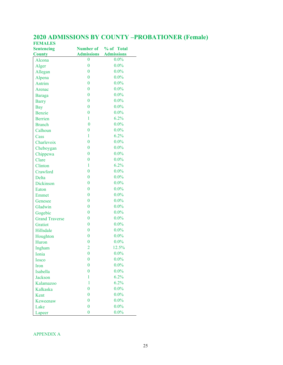| <b>Sentencing</b>     |                   | Number of % of Total |
|-----------------------|-------------------|----------------------|
| <b>County</b>         | <b>Admissions</b> | <b>Admissions</b>    |
| Alcona                | 0                 | $0.0\%$              |
| Alger                 | $\overline{0}$    | $0.0\%$              |
| Allegan               | $\overline{0}$    | $0.0\%$              |
| Alpena                | $\overline{0}$    | $0.0\%$              |
| Antrim                | $\overline{0}$    | $0.0\%$              |
| Arenac                | $\overline{0}$    | $0.0\%$              |
| <b>Baraga</b>         | $\overline{0}$    | $0.0\%$              |
| <b>Barry</b>          | $\boldsymbol{0}$  | $0.0\%$              |
| <b>Bay</b>            | $\overline{0}$    | $0.0\%$              |
| <b>Benzie</b>         | $\boldsymbol{0}$  | $0.0\%$              |
| <b>Berrien</b>        | $\mathbf{1}$      | 6.2%                 |
| <b>Branch</b>         | $\overline{0}$    | $0.0\%$              |
| Calhoun               | $\overline{0}$    | $0.0\%$              |
| Cass                  | $\mathbf{1}$      | 6.2%                 |
| Charlevoix            | $\overline{0}$    | $0.0\%$              |
| Cheboygan             | $\overline{0}$    | $0.0\%$              |
| Chippewa              | $\overline{0}$    | $0.0\%$              |
| Clare                 | $\overline{0}$    | $0.0\%$              |
| Clinton               | 1                 | 6.2%                 |
| Crawford              | $\overline{0}$    | $0.0\%$              |
| Delta                 | $\overline{0}$    | $0.0\%$              |
| <b>Dickinson</b>      | $\overline{0}$    | $0.0\%$              |
| Eaton                 | $\overline{0}$    | $0.0\%$              |
| Emmet                 | $\boldsymbol{0}$  | $0.0\%$              |
| Genesee               | $\overline{0}$    | $0.0\%$              |
| Gladwin               | $\boldsymbol{0}$  | $0.0\%$              |
| Gogebic               | $\overline{0}$    | $0.0\%$              |
| <b>Grand Traverse</b> | $\overline{0}$    | $0.0\%$              |
| Gratiot               | $\overline{0}$    | $0.0\%$              |
| Hillsdale             | $\overline{0}$    | $0.0\%$              |
| Houghton              | $\overline{0}$    | $0.0\%$              |
| Huron                 | $\overline{0}$    | $0.0\%$              |
| Ingham                | $\overline{2}$    | 12.5%                |
| Ionia                 | $\boldsymbol{0}$  | $0.0\%$              |
| <b>Iosco</b>          | $\overline{0}$    | $0.0\%$              |
| Iron                  | $\overline{0}$    | $0.0\%$              |
| Isabella              | $\overline{0}$    | $0.0\%$              |
| <b>Jackson</b>        | 1                 | 6.2%                 |
| Kalamazoo             | 1                 | 6.2%                 |
| Kalkaska              | $\overline{0}$    | $0.0\%$              |
| Kent                  | $\overline{0}$    | $0.0\%$              |
| Keweenaw              | $\overline{0}$    | $0.0\%$              |
| Lake                  | $\overline{0}$    | $0.0\%$              |
| Lapeer                | $\boldsymbol{0}$  | $0.0\%$              |

#### **2020 ADMISSIONS BY COUNTY –PROBATIONER (Female) FEMALES**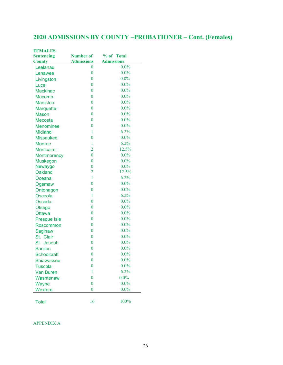# **2020 ADMISSIONS BY COUNTY –PROBATIONER – Cont. (Females)**

| <b>FEMALES</b>     |                   |                   |
|--------------------|-------------------|-------------------|
| <b>Sentencing</b>  | <b>Number of</b>  | % of Total        |
| <b>County</b>      | <b>Admissions</b> | <b>Admissions</b> |
| Leelanau           | $\bf{0}$          | $0.0\%$           |
| Lenawee            | $\boldsymbol{0}$  | $0.0\%$           |
| Livingston         | $\bf{0}$          | $0.0\%$           |
| Luce               | $\bf{0}$          | $0.0\%$           |
| <b>Mackinac</b>    | $\bf{0}$          | $0.0\%$           |
| Macomb             | $\overline{0}$    | $0.0\%$           |
| <b>Manistee</b>    | $\bf{0}$          | $0.0\%$           |
| <b>Marquette</b>   | $\bf{0}$          | $0.0\%$           |
| <b>Mason</b>       | $\bf{0}$          | $0.0\%$           |
| Mecosta            | $\bf{0}$          | $0.0\%$           |
| <b>Menominee</b>   | $\bf{0}$          | $0.0\%$           |
| <b>Midland</b>     | 1                 | 6.2%              |
| <b>Missaukee</b>   | $\bf{0}$          | $0.0\%$           |
| <b>Monroe</b>      | 1                 | 6.2%              |
| Montcalm           | $\overline{2}$    | 12.5%             |
| <b>Montmorency</b> | $\bf{0}$          | $0.0\%$           |
| <b>Muskegon</b>    | $\bf{0}$          | $0.0\%$           |
| Newaygo            | $\bf{0}$          | $0.0\%$           |
| <b>Oakland</b>     | $\overline{2}$    | 12.5%             |
| Oceana             | $\mathbf{1}$      | 6.2%              |
| Ogemaw             | $\overline{0}$    | $0.0\%$           |
| Ontonagon          | $\bf{0}$          | $0.0\%$           |
| Osceola            | 1                 | 6.2%              |
| Oscoda             | $\bf{0}$          | $0.0\%$           |
| Otsego             | $\bf{0}$          | $0.0\%$           |
| <b>Ottawa</b>      | $\bf{0}$          | $0.0\%$           |
| Presque Isle       | $\bf{0}$          | $0.0\%$           |
| Roscommon          | $\boldsymbol{0}$  | $0.0\%$           |
| Saginaw            | $\boldsymbol{0}$  | $0.0\%$           |
| St. Clair          | $\bf{0}$          | $0.0\%$           |
| St. Joseph         | $\bf{0}$          | $0.0\%$           |
| <b>Sanilac</b>     | $\bf{0}$          | $0.0\%$           |
| <b>Schoolcraft</b> | $\boldsymbol{0}$  | $0.0\%$           |
| <b>Shiawassee</b>  | $\boldsymbol{0}$  | $0.0\%$           |
| <b>Tuscola</b>     | $\bf{0}$          | $0.0\%$           |
| <b>Van Buren</b>   | 1                 | 6.2%              |
| Washtenaw          | $\bf{0}$          | $0.0\%$           |
| Wayne              | $\bf{0}$          | $0.0\%$           |
| Wexford            | $\bf{0}$          | $0.0\%$           |
|                    |                   |                   |
| <b>Total</b>       | 16                | 100%              |
|                    |                   |                   |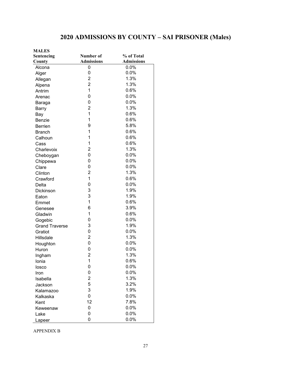# **2020 ADMISSIONS BY COUNTY – SAI PRISONER (Males)**

| <b>MALES</b>          |                   |                   |
|-----------------------|-------------------|-------------------|
| Sentencing            | Number of         | % of Total        |
| County                | <b>Admissions</b> | <b>Admissions</b> |
| Alcona                | 0                 | 0.0%              |
| Alger                 | 0                 | 0.0%              |
| Allegan               | $\overline{2}$    | 1.3%              |
| Alpena                | $\overline{2}$    | 1.3%              |
| Antrim                | $\overline{1}$    | 0.6%              |
| Arenac                | 0                 | 0.0%              |
| Baraga                | 0                 | 0.0%              |
| Barry                 | $\overline{2}$    | 1.3%              |
| Bay                   | $\mathbf{1}$      | 0.6%              |
| Benzie                | 1                 | 0.6%              |
| <b>Berrien</b>        | 9                 | 5.8%              |
| <b>Branch</b>         | 1                 | 0.6%              |
| Calhoun               | 1                 | 0.6%              |
| Cass                  | 1                 | 0.6%              |
| Charlevoix            | $\overline{2}$    | 1.3%              |
| Cheboygan             | 0                 | 0.0%              |
| Chippewa              | 0                 | 0.0%              |
| Clare                 | 0                 | 0.0%              |
| Clinton               | $\overline{2}$    | 1.3%              |
| Crawford              | 1                 | 0.6%              |
| Delta                 | 0                 | 0.0%              |
| Dickinson             | 3                 | 1.9%              |
| Eaton                 | 3                 | 1.9%              |
| Emmet                 | 1                 | 0.6%              |
| Genesee               | 6                 | 3.9%              |
| Gladwin               | 1                 | 0.6%              |
| Gogebic               | 0                 | 0.0%              |
| <b>Grand Traverse</b> | 3                 | 1.9%              |
| Gratiot               | $\mathbf 0$       | 0.0%              |
| Hillsdale             | $\overline{2}$    | 1.3%              |
| Houghton              | 0                 | 0.0%              |
| Huron                 | $\mathbf 0$       | 0.0%              |
| Ingham                | $\overline{2}$    | 1.3%              |
| Ionia                 | 1                 | 0.6%              |
| losco                 | 0                 | 0.0%              |
| Iron                  | 0                 | 0.0%              |
| Isabella              | $\overline{c}$    | 1.3%              |
| Jackson               | 5                 | 3.2%              |
| Kalamazoo             | 3                 | 1.9%              |
| Kalkaska              | 0                 | 0.0%              |
| Kent                  | 12                | 7.8%              |
| Keweenaw              | 0                 | 0.0%              |
| Lake                  | 0                 | 0.0%              |
| Lapeer                | 0                 | 0.0%              |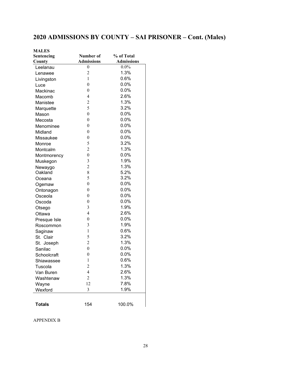# **2020 ADMISSIONS BY COUNTY – SAI PRISONER – Cont. (Males)**

| <b>MALES</b>  |                   |                   |
|---------------|-------------------|-------------------|
| Sentencing    | Number of         | % of Total        |
| County        | <b>Admissions</b> | <b>Admissions</b> |
| Leelanau      | 0                 | $0.0\%$           |
| Lenawee       | $\overline{c}$    | 1.3%              |
| Livingston    | 1                 | 0.6%              |
| Luce          | $\boldsymbol{0}$  | 0.0%              |
| Mackinac      | $\boldsymbol{0}$  | 0.0%              |
| Macomb        | $\overline{4}$    | 2.6%              |
| Manistee      | $\overline{2}$    | 1.3%              |
| Marquette     | 5                 | 3.2%              |
| Mason         | $\boldsymbol{0}$  | $0.0\%$           |
| Mecosta       | $\boldsymbol{0}$  | 0.0%              |
| Menominee     | $\boldsymbol{0}$  | 0.0%              |
| Midland       | $\boldsymbol{0}$  | 0.0%              |
| Missaukee     | $\boldsymbol{0}$  | 0.0%              |
| Monroe        | 5                 | 3.2%              |
| Montcalm      | $\overline{2}$    | 1.3%              |
| Montmorency   | $\boldsymbol{0}$  | 0.0%              |
| Muskegon      | 3                 | 1.9%              |
| Newaygo       | $\overline{c}$    | 1.3%              |
| Oakland       | 8                 | 5.2%              |
| Oceana        | 5                 | 3.2%              |
| Ogemaw        | $\overline{0}$    | 0.0%              |
| Ontonagon     | $\boldsymbol{0}$  | 0.0%              |
| Osceola       | $\boldsymbol{0}$  | $0.0\%$           |
| Oscoda        | $\boldsymbol{0}$  | $0.0\%$           |
| Otsego        | 3                 | 1.9%              |
| Ottawa        | $\overline{4}$    | 2.6%              |
| Presque Isle  | $\boldsymbol{0}$  | 0.0%              |
| Roscommon     | 3                 | 1.9%              |
| Saginaw       | $\mathbf{1}$      | 0.6%              |
| St. Clair     | 5                 | 3.2%              |
| St. Joseph    | $\overline{c}$    | 1.3%              |
| Sanilac       | $\boldsymbol{0}$  | 0.0%              |
| Schoolcraft   | $\boldsymbol{0}$  | 0.0%              |
| Shiawassee    | 1                 | 0.6%              |
| Tuscola       | $\overline{c}$    | 1.3%              |
| Van Buren     | $\overline{4}$    | 2.6%              |
| Washtenaw     | $\overline{2}$    | 1.3%              |
| Wayne         | 12                | 7.8%              |
| Wexford       | 3                 | 1.9%              |
|               |                   |                   |
| <b>Totals</b> | 154               | 100.0%            |
|               |                   |                   |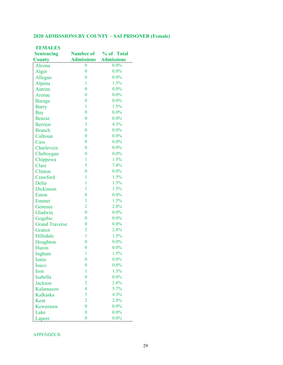#### **2020 ADMISSIONS BY COUNTY – SAI PRISONER (Female)**

| <b>FEMALES</b>        |                   |                   |
|-----------------------|-------------------|-------------------|
| <b>Sentencing</b>     | <b>Number of</b>  | % of Total        |
| <b>County</b>         | <b>Admissions</b> | <b>Admissions</b> |
| Alcona                | 0                 | $0.0\%$           |
| Alger                 | $\boldsymbol{0}$  | $0.0\%$           |
| Allegan               | $\bf{0}$          | $0.0\%$           |
| Alpena                | 1                 | 1.5%              |
| Antrim                | $\overline{0}$    | $0.0\%$           |
| Arenac                | $\overline{0}$    | $0.0\%$           |
| Baraga                | $\overline{0}$    | $0.0\%$           |
| <b>Barry</b>          | $\mathbf{1}$      | 1.5%              |
| <b>Bay</b>            | $\bf{0}$          | $0.0\%$           |
| Benzie                | $\boldsymbol{0}$  | $0.0\%$           |
| <b>Berrien</b>        | 3                 | 4.3%              |
| <b>Branch</b>         | $\overline{0}$    | $0.0\%$           |
| Calhoun               | $\overline{0}$    | $0.0\%$           |
| Cass                  | $\overline{0}$    | $0.0\%$           |
| Charlevoix            | $\overline{0}$    | $0.0\%$           |
| Cheboygan             | $\bf{0}$          | $0.0\%$           |
| Chippewa              | $\mathbf{1}$      | 1.5%              |
| Clare                 | 5                 | 7.4%              |
| Clinton               | $\bf{0}$          | $0.0\%$           |
| Crawford              | 1                 | 1.5%              |
| Delta                 | 1                 | 1.5%              |
| Dickinson             | $\mathbf{1}$      | 1.5%              |
| Eaton                 | $\overline{0}$    | $0.0\%$           |
| Emmet                 | 1                 | 1.5%              |
| Genesee               | $\overline{2}$    | 2.8%              |
| Gladwin               | $\bf{0}$          | $0.0\%$           |
| Gogebic               | $\overline{0}$    | $0.0\%$           |
| <b>Grand Traverse</b> | $\bf{0}$          | $0.0\%$           |
| Gratiot               | $\overline{2}$    | 2.8%              |
| Hillsdale             | $\mathbf{1}$      | 1.5%              |
| Houghton              | $\overline{0}$    | $0.0\%$           |
| Huron                 | $\overline{0}$    | $0.0\%$           |
| Ingham                | 1                 | 1.5%              |
| Ionia                 | $\overline{0}$    | $0.0\%$           |
| <b>Iosco</b>          | $\overline{0}$    | $0.0\%$           |
| Iron                  | 1                 | 1.5%              |
| Isabella              | $\overline{0}$    | $0.0\%$           |
| <b>Jackson</b>        | $\overline{2}$    | 2.8%              |
| Kalamazoo             | $\overline{4}$    | 5.7%              |
| Kalkaska              | $\overline{3}$    | 4.3%              |
| Kent                  | $\overline{2}$    | 2.8%              |
| Keweenaw              | $\overline{0}$    | $0.0\%$           |
| Lake                  | $\boldsymbol{0}$  | $0.0\%$           |
| Lapeer                | $\bf{0}$          | $0.0\%$           |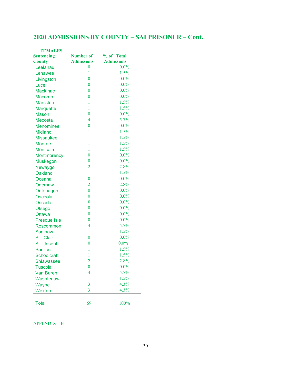# **2020 ADMISSIONS BY COUNTY – SAI PRISONER – Cont.**

| <b>FEMALES</b>      |                         |                   |
|---------------------|-------------------------|-------------------|
| <b>Sentencing</b>   | <b>Number of</b>        | % of Total        |
| <b>County</b>       | <b>Admissions</b>       | <b>Admissions</b> |
| Leelanau            | $\overline{0}$          | $0.0\%$           |
| Lenawee             | $\mathbf{1}$            | 1.5%              |
| Livingston          | $\overline{0}$          | $0.0\%$           |
| Luce                | $\bf{0}$                | $0.0\%$           |
| <b>Mackinac</b>     | $\bf{0}$                | $0.0\%$           |
| Macomb              | $\bf{0}$                | $0.0\%$           |
| <b>Manistee</b>     | $\mathbf{1}$            | 1.5%              |
| <b>Marquette</b>    | $\mathbf{1}$            | 1.5%              |
| <b>Mason</b>        | $\bf{0}$                | $0.0\%$           |
| Mecosta             | $\overline{4}$          | 5.7%              |
| <b>Menominee</b>    | $\bf{0}$                | $0.0\%$           |
| <b>Midland</b>      | $\mathbf{1}$            | 1.5%              |
| <b>Missaukee</b>    | 1                       | 1.5%              |
| <b>Monroe</b>       | $\mathbf{1}$            | 1.5%              |
| <b>Montcalm</b>     | $\mathbf{1}$            | 1.5%              |
| <b>Montmorency</b>  | $\bf{0}$                | $0.0\%$           |
| <b>Muskegon</b>     | $\bf{0}$                | $0.0\%$           |
| Newaygo             | $\overline{2}$          | 2.8%              |
| <b>Oakland</b>      | 1                       | 1.5%              |
| Oceana              | $\bf{0}$                | $0.0\%$           |
| Ogemaw              | $\overline{2}$          | 2.8%              |
| Ontonagon           | $\bf{0}$                | $0.0\%$           |
| Osceola             | $\bf{0}$                | $0.0\%$           |
| Oscoda              | $\bf{0}$                | $0.0\%$           |
| Otsego              | $\bf{0}$                | $0.0\%$           |
| <b>Ottawa</b>       | $\bf{0}$                | $0.0\%$           |
| <b>Presque Isle</b> | $\bf{0}$                | $0.0\%$           |
| Roscommon           | $\overline{\mathbf{4}}$ | 5.7%              |
| Saginaw             | 1                       | 1.5%              |
| St. Clair           | $\bf{0}$                | $0.0\%$           |
| St. Joseph          | $\bf{0}$                | $0.0\%$           |
| <b>Sanilac</b>      | $\mathbf{1}$            | 1.5%              |
| <b>Schoolcraft</b>  | 1                       | 1.5%              |
| <b>Shiawassee</b>   | $\overline{2}$          | 2.8%              |
| <b>Tuscola</b>      | $\overline{0}$          | $0.0\%$           |
| <b>Van Buren</b>    | 4                       | 5.7%              |
| Washtenaw           | 1                       | 1.5%              |
| Wayne               | 3                       | 4.3%              |
| Wexford             | $\overline{3}$          | 4.3%              |
|                     |                         |                   |
| <b>Total</b>        | 69                      | 100%              |
|                     |                         |                   |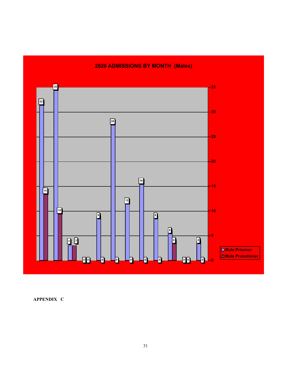

## **2020 ADMISSIONS BY MONTH (Males)**

**APPENDIX C**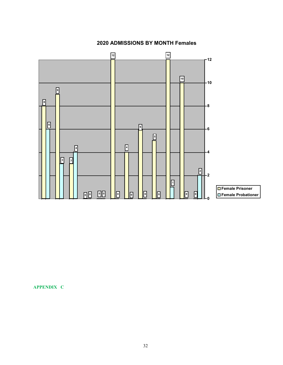

#### **2020 ADMISSIONS BY MONTH Females**

**APPENDIX C**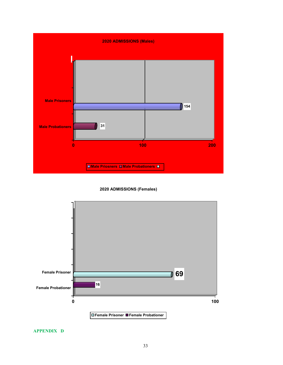

**2020 ADMISSIONS (Females)**



**APPENDIX D**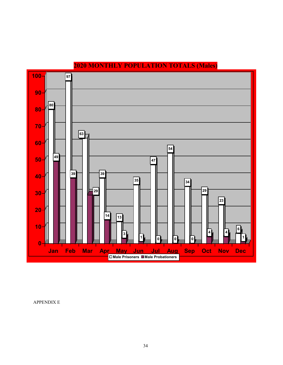

# **MONTHLY POPULATION TOTALS (Males)**

APPENDIX E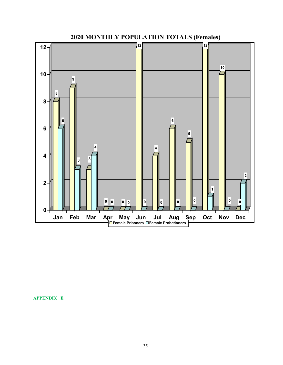

**MONTHLY POPULATION TOTALS (Females)**

**APPENDIX E**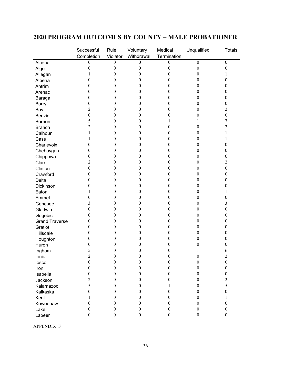## **2020 PROGRAM OUTCOMES BY COUNTY – MALE PROBATIONER**

|                       | Successful                     | Rule                         | Voluntary                      | Medical                         | Unqualified      | <b>Totals</b>    |
|-----------------------|--------------------------------|------------------------------|--------------------------------|---------------------------------|------------------|------------------|
|                       | Completion<br>$\boldsymbol{0}$ | Violator<br>$\boldsymbol{0}$ | Withdrawal<br>$\boldsymbol{0}$ | Termination<br>$\boldsymbol{0}$ | $\boldsymbol{0}$ | $\boldsymbol{0}$ |
| Alcona                | $\boldsymbol{0}$               | $\boldsymbol{0}$             | 0                              | $\boldsymbol{0}$                | $\boldsymbol{0}$ | $\boldsymbol{0}$ |
| Alger                 |                                |                              | 0                              |                                 | $\boldsymbol{0}$ |                  |
| Allegan               | 1                              | 0                            |                                | 0                               |                  | 1                |
| Alpena                | 0                              | 0                            | 0                              | 0                               | $\boldsymbol{0}$ | $\theta$         |
| Antrim                | 0                              | 0                            | 0                              | 0                               | $\boldsymbol{0}$ | $\theta$         |
| Arenac                | 0                              | 0                            | 0                              | 0                               | $\boldsymbol{0}$ | $\theta$         |
| Baraga                | 0                              | 0                            | 0                              | 0                               | $\mathbf{0}$     | $\boldsymbol{0}$ |
| <b>Barry</b>          | 0                              | 0                            | 0                              | 0                               | $\boldsymbol{0}$ | $\boldsymbol{0}$ |
| Bay                   | 2                              | 0                            | 0                              | 0                               | $\boldsymbol{0}$ | $\overline{c}$   |
| Benzie                | 0                              | 0                            | 0                              | 0                               | $\boldsymbol{0}$ | $\boldsymbol{0}$ |
| Berrien               | 5                              | 0                            | $_{0}$                         | 1                               | 1                | 7                |
| <b>Branch</b>         | 2                              | 0                            | 0                              | 0                               | $\boldsymbol{0}$ | $\overline{c}$   |
| Calhoun               |                                | 0                            | 0                              | 0                               | $\boldsymbol{0}$ | 1                |
| Cass                  |                                | 0                            | 0                              | 0                               | $\boldsymbol{0}$ | 1                |
| Charlevoix            | $\overline{0}$                 | 0                            | 0                              | 0                               | $\mathbf{0}$     | $\boldsymbol{0}$ |
| Cheboygan             | 0                              | 0                            | 0                              | 0                               | $\boldsymbol{0}$ | $\boldsymbol{0}$ |
| Chippewa              | 0                              | 0                            | 0                              | 0                               | $\boldsymbol{0}$ | $\boldsymbol{0}$ |
| Clare                 | $\overline{c}$                 | 0                            | 0                              | 0                               | $\boldsymbol{0}$ | $\overline{c}$   |
| Clinton               | 0                              | 0                            | 0                              | 0                               | $\boldsymbol{0}$ | $\boldsymbol{0}$ |
| Crawford              | 0                              | 0                            | 0                              | 0                               | $\boldsymbol{0}$ | $\theta$         |
| Delta                 | 0                              | 0                            | 0                              | 0                               | $\boldsymbol{0}$ | $\boldsymbol{0}$ |
| Dickinson             | 0                              | 0                            | 0                              | 0                               | $\boldsymbol{0}$ | 0                |
| Eaton                 |                                | 0                            | 0                              | 0                               | $\mathbf{0}$     | 1                |
| Emmet                 | $\boldsymbol{0}$               | 0                            | 0                              | 0                               | $\boldsymbol{0}$ | 0                |
| Genesee               | 3                              | 0                            | 0                              | 0                               | $\boldsymbol{0}$ | 3                |
| Gladwin               | 0                              | 0                            | 0                              | 0                               | $\boldsymbol{0}$ | $\boldsymbol{0}$ |
| Gogebic               | 0                              | 0                            | 0                              | 0                               | $\boldsymbol{0}$ | $\theta$         |
| <b>Grand Traverse</b> | 0                              | 0                            | 0                              | 0                               | $\boldsymbol{0}$ | $\theta$         |
| Gratiot               | $\boldsymbol{0}$               | 0                            | 0                              | 0                               | $\boldsymbol{0}$ | $\theta$         |
| Hillsdale             | 0                              | 0                            | 0                              | 0                               | $\boldsymbol{0}$ | $\boldsymbol{0}$ |
| Houghton              | 0                              | 0                            | 0                              | 0                               | $\boldsymbol{0}$ | 0                |
| Huron                 | $\boldsymbol{0}$               | 0                            | 0                              | 0                               | 0                | $\boldsymbol{0}$ |
| Ingham                | 5                              | 0                            | 0                              | 0                               | 1                | 6                |
| Ionia                 | $\boldsymbol{2}$               | $\boldsymbol{0}$             | $\boldsymbol{0}$               | $\boldsymbol{0}$                | $\boldsymbol{0}$ | $\mathfrak{2}$   |
| losco                 | $\boldsymbol{0}$               | $\boldsymbol{0}$             | $\boldsymbol{0}$               | $\theta$                        | $\boldsymbol{0}$ | $\boldsymbol{0}$ |
| Iron                  | $\boldsymbol{0}$               | 0                            | $\theta$                       | 0                               | $\boldsymbol{0}$ | $\boldsymbol{0}$ |
| Isabella              | 0                              | 0                            | 0                              | 0                               | $\boldsymbol{0}$ | $\boldsymbol{0}$ |
| Jackson               | 2                              | 0                            | 0                              | 0                               | $\boldsymbol{0}$ | $\overline{c}$   |
| Kalamazoo             | 5                              | 0                            | $\theta$                       | 1                               | $\boldsymbol{0}$ | 5                |
| Kalkaska              | 0                              | 0                            | 0                              | 0                               | $\boldsymbol{0}$ | $\boldsymbol{0}$ |
| Kent                  |                                | 0                            | $\theta$                       | $\theta$                        | $\boldsymbol{0}$ | 1                |
| Keweenaw              | 0                              | 0                            | $\theta$                       | $\theta$                        | $\boldsymbol{0}$ | $\boldsymbol{0}$ |
| Lake                  | $\boldsymbol{0}$               | $\theta$                     | $\boldsymbol{0}$               | $\theta$                        | $\boldsymbol{0}$ | $\boldsymbol{0}$ |
| Lapeer                | $\boldsymbol{0}$               | $\boldsymbol{0}$             | $\boldsymbol{0}$               | 0                               | $\boldsymbol{0}$ | $\boldsymbol{0}$ |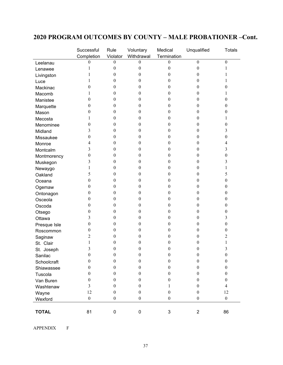# **2020 PROGRAM OUTCOMES BY COUNTY – MALE PROBATIONER –Cont.**

|              | Successful       | Rule             | Voluntary        | Medical          | Unqualified      | <b>Totals</b>            |
|--------------|------------------|------------------|------------------|------------------|------------------|--------------------------|
|              | Completion       | Violator         | Withdrawal       | Termination      |                  |                          |
| Leelanau     | 0                | $\theta$         | 0                | $\theta$         | $\mathbf{0}$     | $\mathbf{0}$             |
| Lenawee      | 1                | $\boldsymbol{0}$ | $\boldsymbol{0}$ | $\theta$         | $\boldsymbol{0}$ | 1                        |
| Livingston   | 1                | $\boldsymbol{0}$ | $\boldsymbol{0}$ | 0                | 0                | 1                        |
| Luce         | 1                | $\boldsymbol{0}$ | $\boldsymbol{0}$ | 0                | 0                | 1                        |
| Mackinac     | 0                | $\theta$         | $\boldsymbol{0}$ | 0                | $\theta$         | 0                        |
| Macomb       | 1                | $\theta$         | $\boldsymbol{0}$ | 0                | 0                | 1                        |
| Manistee     | $\theta$         | $\theta$         | $\boldsymbol{0}$ | 0                | 0                | $\boldsymbol{0}$         |
| Marquette    | $\boldsymbol{0}$ | $\theta$         | $\boldsymbol{0}$ | 0                | 0                | $\boldsymbol{0}$         |
| Mason        | $\boldsymbol{0}$ | $\boldsymbol{0}$ | $\boldsymbol{0}$ | $\theta$         | 0                | 0                        |
| Mecosta      | 1                | $\boldsymbol{0}$ | $\boldsymbol{0}$ | 0                | 0                | 1                        |
| Menominee    | $\theta$         | $\theta$         | $\boldsymbol{0}$ | 0                | 0                | 0                        |
| Midland      | 3                | $\theta$         | $\boldsymbol{0}$ | 0                | 0                | 3                        |
| Missaukee    | 0                | $\theta$         | $\boldsymbol{0}$ | 0                | $\theta$         | $\boldsymbol{0}$         |
| Monroe       | 4                | $\theta$         | $\boldsymbol{0}$ | 0                | $\theta$         | $\overline{\mathbf{4}}$  |
| Montcalm     | 3                | $\theta$         | $\boldsymbol{0}$ | 0                | 0                | 3                        |
| Montmorency  | 0                | $\theta$         | $\boldsymbol{0}$ | 0                | 0                | $\boldsymbol{0}$         |
| Muskegon     | 3                | $\theta$         | $\boldsymbol{0}$ | 0                | 0                | 3                        |
| Newaygo      | 1                | $\boldsymbol{0}$ | $\boldsymbol{0}$ | 0                | $\boldsymbol{0}$ | 1                        |
| Oakland      | 5                | $\theta$         | $\boldsymbol{0}$ | 0                | 0                | 5                        |
| Oceana       | $\boldsymbol{0}$ | $\theta$         | $\boldsymbol{0}$ | 0                | 0                | $\boldsymbol{0}$         |
| Ogemaw       | $\boldsymbol{0}$ | $\theta$         | $\boldsymbol{0}$ | 0                | $\theta$         | $\boldsymbol{0}$         |
| Ontonagon    | $\boldsymbol{0}$ | $\theta$         | $\boldsymbol{0}$ | 0                | $\theta$         | $\boldsymbol{0}$         |
| Osceola      | $\boldsymbol{0}$ | $\theta$         | $\boldsymbol{0}$ | 0                | 0                | $\boldsymbol{0}$         |
| Oscoda       | $\boldsymbol{0}$ | $\theta$         | $\boldsymbol{0}$ | 0                | $\theta$         | $\boldsymbol{0}$         |
| Otsego       | $\boldsymbol{0}$ | $\boldsymbol{0}$ | $\boldsymbol{0}$ | $\theta$         | 0                | 0                        |
| Ottawa       | 3                | $\boldsymbol{0}$ | $\boldsymbol{0}$ | 0                | $\boldsymbol{0}$ | 3                        |
| Presque Isle | $\boldsymbol{0}$ | $\theta$         | $\boldsymbol{0}$ | $\overline{0}$   | 0                | $\boldsymbol{0}$         |
| Roscommon    | $\boldsymbol{0}$ | $\theta$         | $\boldsymbol{0}$ | 0                | 0                | 0                        |
| Saginaw      | $\overline{c}$   | $\theta$         | $\boldsymbol{0}$ | 0                | 0                | 2                        |
| St. Clair    | 1                | $\boldsymbol{0}$ | $\boldsymbol{0}$ | 0                | 0                | 1                        |
| St. Joseph   | 3                | $\boldsymbol{0}$ | $\boldsymbol{0}$ | $\boldsymbol{0}$ | 0                | 3                        |
| Sanilac      | $\boldsymbol{0}$ | $\boldsymbol{0}$ | $\boldsymbol{0}$ | $\boldsymbol{0}$ | $\boldsymbol{0}$ | $\boldsymbol{0}$         |
| Schoolcraft  | $\theta$         | $\boldsymbol{0}$ | $\boldsymbol{0}$ | $\boldsymbol{0}$ | $\boldsymbol{0}$ | $\boldsymbol{0}$         |
| Shiawassee   | $\theta$         | $\boldsymbol{0}$ | $\boldsymbol{0}$ | $\boldsymbol{0}$ | $\boldsymbol{0}$ | $\boldsymbol{0}$         |
| Tuscola      | $\theta$         | $\theta$         | $\theta$         | $\theta$         | $\theta$         | $\mathbf{0}$             |
| Van Buren    | $\theta$         | $\theta$         | $\boldsymbol{0}$ | $\theta$         | $\theta$         | $\mathbf{0}$             |
| Washtenaw    | 3                | $\boldsymbol{0}$ | $\boldsymbol{0}$ | 1                | $\theta$         | $\overline{\mathcal{L}}$ |
| Wayne        | 12               | $\boldsymbol{0}$ | $\boldsymbol{0}$ | $\boldsymbol{0}$ | $\boldsymbol{0}$ | 12                       |
| Wexford      | $\boldsymbol{0}$ | $\boldsymbol{0}$ | $\boldsymbol{0}$ | $\boldsymbol{0}$ | $\boldsymbol{0}$ | $\boldsymbol{0}$         |
|              |                  |                  |                  |                  |                  |                          |
| <b>TOTAL</b> | 81               | 0                | 0                | 3                | $\overline{2}$   | 86                       |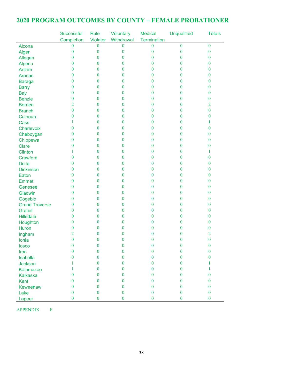## **2020 PROGRAM OUTCOMES BY COUNTY – FEMALE PROBATIONER**

|                              | Successful       | <b>Rule</b>      | Voluntary        | <b>Medical</b>   | <b>Unqualified</b> | <b>Totals</b>    |
|------------------------------|------------------|------------------|------------------|------------------|--------------------|------------------|
|                              | Completion       | Violator         | Withdrawal       | Termination      |                    |                  |
| Alcona                       | $\boldsymbol{0}$ | $\overline{0}$   | $\bf{0}$         | $\mathbf{0}$     | $\bf{0}$           | $\boldsymbol{0}$ |
| Alger                        | $\boldsymbol{0}$ | $\boldsymbol{0}$ | $\boldsymbol{0}$ | $\boldsymbol{0}$ | $\boldsymbol{0}$   | $\boldsymbol{0}$ |
| Allegan                      | $\boldsymbol{0}$ | $\bf{0}$         | $\bf{0}$         | $\bf{0}$         | $\boldsymbol{0}$   | $\mathbf{0}$     |
| Alpena                       | 0                | $\theta$         | $\bf{0}$         | $\mathbf{0}$     | $\theta$           | $\mathbf{0}$     |
| Antrim                       | 0                | $\theta$         | $\bf{0}$         | $\mathbf{0}$     | $\bf{0}$           | $\bf{0}$         |
| Arenac                       | $\mathbf{0}$     | $\theta$         | $\bf{0}$         | $\mathbf{0}$     | $\boldsymbol{0}$   | $\bf{0}$         |
| <b>Baraga</b>                | $\boldsymbol{0}$ | $\bf{0}$         | $\bf{0}$         | $\bf{0}$         | $\bf{0}$           | $\bf{0}$         |
| <b>Barry</b>                 | $\boldsymbol{0}$ | $\theta$         | $\bf{0}$         | $\bf{0}$         | $\theta$           | $\bf{0}$         |
| <b>Bay</b>                   | $\boldsymbol{0}$ | $\bf{0}$         | 0                | $\mathbf{0}$     | $\bf{0}$           | $\boldsymbol{0}$ |
| <b>Benzie</b>                | $\boldsymbol{0}$ | $\bf{0}$         | $\bf{0}$         | $\mathbf{0}$     | $\bf{0}$           | $\boldsymbol{0}$ |
| <b>Berrien</b>               | $\overline{2}$   | $\bf{0}$         | 0                | $\mathbf{0}$     | $\bf{0}$           | 2                |
| <b>Branch</b>                | $\bf{0}$         | $\theta$         | 0                | $\mathbf{0}$     | $\theta$           | $\theta$         |
| Calhoun                      | 0                | $\theta$         | $\bf{0}$         | $\mathbf{0}$     | $\bf{0}$           | $\bf{0}$         |
| Cass                         | 1                | $\theta$         | $\bf{0}$         | $\mathbf{0}$     | $\bf{0}$           | 1                |
| Charlevoix                   | $\bf{0}$         | $\bf{0}$         | $\bf{0}$         | $\mathbf{0}$     | $\bf{0}$           | $\bf{0}$         |
| Cheboygan                    | $\boldsymbol{0}$ | $\theta$         | $\bf{0}$         | $\bf{0}$         | $\bf{0}$           | $\bf{0}$         |
| Chippewa                     | $\boldsymbol{0}$ | $\bf{0}$         | 0                | $\bf{0}$         | $\bf{0}$           | $\boldsymbol{0}$ |
| <b>Clare</b>                 | 0                | $\bf{0}$         | 0                | $\mathbf{0}$     | $\boldsymbol{0}$   | $\boldsymbol{0}$ |
| Clinton                      |                  | $\bf{0}$         | 0                | $\mathbf{0}$     | $\bf{0}$           | 1                |
| Crawford                     | 0                | $\theta$         | $\overline{0}$   | $\mathbf{0}$     | $\theta$           | $\bf{0}$         |
| <b>Delta</b>                 | 0                | $\theta$         | $\bf{0}$         | $\mathbf{0}$     | $\bf{0}$           | $\bf{0}$         |
| <b>Dickinson</b>             | $\boldsymbol{0}$ | $\theta$         | $\bf{0}$         | $\mathbf{0}$     | $\bf{0}$           | $\bf{0}$         |
| Eaton                        | $\boldsymbol{0}$ | $\bf{0}$         | $\bf{0}$         | $\bf{0}$         | $\bf{0}$           | $\bf{0}$         |
| <b>Emmet</b>                 | $\mathbf{0}$     | $\theta$         | $\bf{0}$         | $\bf{0}$         | $\theta$           | $\bf{0}$         |
| Genesee                      | $\boldsymbol{0}$ | $\bf{0}$         | 0                | $\mathbf{0}$     | $\bf{0}$           | $\boldsymbol{0}$ |
| Gladwin                      | $\boldsymbol{0}$ | $\bf{0}$         | 0                | $\mathbf{0}$     | $\boldsymbol{0}$   | $\boldsymbol{0}$ |
| Gogebic                      | 0                | $\bf{0}$         | 0                | $\mathbf{0}$     | $\bf{0}$           | $\mathbf{0}$     |
| <b>Grand Traverse</b>        | 0                | $\theta$         | $\overline{0}$   | $\mathbf{0}$     | $\bf{0}$           | $\mathbf{0}$     |
| <b>Gratiot</b>               | 0                | $\theta$         | $\bf{0}$         | $\mathbf{0}$     | $\bf{0}$           | $\bf{0}$         |
| <b>Hillsdale</b>             | 0                | $\theta$         | $\bf{0}$         | $\mathbf{0}$     | $\mathbf{0}$       | $\bf{0}$         |
| Houghton                     | $\boldsymbol{0}$ | $\overline{0}$   | $\overline{0}$   | $\bf{0}$         | $\bf{0}$           | $\bf{0}$         |
| <b>Huron</b>                 | $\overline{0}$   | $\overline{0}$   | $\overline{0}$   | $\bf{0}$         | $\bf{0}$           | $\bf{0}$         |
| Ingham                       | $\overline{2}$   | $\theta$         | $\overline{0}$   | $\theta$         | $\theta$           | $\overline{2}$   |
| Ionia                        | $\boldsymbol{0}$ | $\boldsymbol{0}$ | $\bf{0}$         | $\boldsymbol{0}$ | $\boldsymbol{0}$   | $\boldsymbol{0}$ |
| losco                        | $\mathbf{0}$     | $\bf{0}$         | $\bf{0}$         | $\bf{0}$         | $\boldsymbol{0}$   | $\boldsymbol{0}$ |
| Iron                         | 0                | $\mathbf{0}$     | $\bf{0}$         | $\theta$         | $\boldsymbol{0}$   | $\boldsymbol{0}$ |
| <b>Isabella</b>              | $\mathbf{0}$     | $\mathbf{0}$     | $\bf{0}$         | $\Omega$         | $\mathbf{0}$       | $\bf{0}$         |
| Jackson                      |                  | $\mathbf{0}$     | $\overline{0}$   | $\theta$         | $\mathbf{0}$       | 1                |
|                              |                  | $\theta$         | $\bf{0}$         | $\Omega$         | $\theta$           | 1                |
| Kalamazoo<br><b>Kalkaska</b> | $\theta$         | $\theta$         | $\bf{0}$         | $\theta$         | $\theta$           | $\mathbf{0}$     |
|                              | $\overline{0}$   | $\bf{0}$         | $\bf{0}$         | $\bf{0}$         | $\bf{0}$           | $\bf{0}$         |
| Kent                         | $\boldsymbol{0}$ | $\mathbf{0}$     | $\bf{0}$         | $\boldsymbol{0}$ | $\bf{0}$           | $\mathbf{0}$     |
| Keweenaw                     | $\boldsymbol{0}$ | $\bf{0}$         | $\bf{0}$         | $\mathbf{0}$     | $\boldsymbol{0}$   | $\boldsymbol{0}$ |
| Lake                         | $\boldsymbol{0}$ | $\bf{0}$         | $\bf{0}$         | $\boldsymbol{0}$ | $\bf{0}$           | $\mathbf{0}$     |
| Lapeer                       |                  |                  |                  |                  |                    |                  |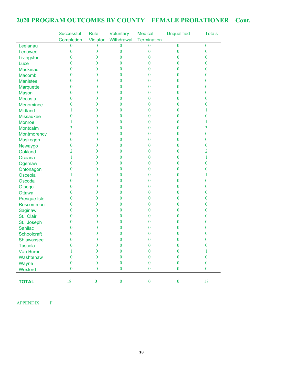# **2020 PROGRAM OUTCOMES BY COUNTY – FEMALE PROBATIONER – Cont.**

|                   | <b>Successful</b> | Rule             | Voluntary        | <b>Medical</b>     | <b>Unqualified</b> | <b>Totals</b>    |
|-------------------|-------------------|------------------|------------------|--------------------|--------------------|------------------|
|                   | Completion        | Violator         | Withdrawal       | <b>Termination</b> |                    |                  |
| Leelanau          | $\boldsymbol{0}$  | $\bf{0}$         | $\bf{0}$         | $\bf{0}$           | $\theta$           | $\mathbf{0}$     |
| Lenawee           | $\boldsymbol{0}$  | $\bf{0}$         | $\bf{0}$         | $\bf{0}$           | $\boldsymbol{0}$   | $\boldsymbol{0}$ |
| Livingston        | $\mathbf{0}$      | $\bf{0}$         | $\bf{0}$         | $\mathbf{0}$       | $\mathbf{0}$       | $\mathbf{0}$     |
| Luce              | $\mathbf{0}$      | $\mathbf{0}$     | $\bf{0}$         | $\bf{0}$           | $\theta$           | $\theta$         |
| <b>Mackinac</b>   | $\mathbf{0}$      | $\mathbf{0}$     | $\bf{0}$         | 0                  | $\theta$           | $\mathbf{0}$     |
| <b>Macomb</b>     | $\mathbf{0}$      | $\bf{0}$         | $\boldsymbol{0}$ | $\mathbf{0}$       | $\mathbf{0}$       | $\mathbf{0}$     |
| <b>Manistee</b>   | $\boldsymbol{0}$  | $\bf{0}$         | $\bf{0}$         | $\bf{0}$           | $\mathbf{0}$       | $\mathbf{0}$     |
| Marquette         | $\boldsymbol{0}$  | $\theta$         | $\bf{0}$         | $\bf{0}$           | $\boldsymbol{0}$   | $\mathbf{0}$     |
| <b>Mason</b>      | $\mathbf{0}$      | $\bf{0}$         | $\boldsymbol{0}$ | $\bf{0}$           | $\boldsymbol{0}$   | $\mathbf{0}$     |
| Mecosta           | $\mathbf{0}$      | $\mathbf{0}$     | $\bf{0}$         | $\mathbf{0}$       | $\mathbf{0}$       | $\mathbf{0}$     |
| Menominee         | $\mathbf{0}$      | $\theta$         | $\mathbf{0}$     | 0                  | $\mathbf{0}$       | 0                |
| <b>Midland</b>    | 1                 | $\mathbf{0}$     | $\bf{0}$         | 0                  | $\theta$           | 1                |
| <b>Missaukee</b>  | $\boldsymbol{0}$  | $\theta$         | $\bf{0}$         | 0                  | $\theta$           | $\bf{0}$         |
| <b>Monroe</b>     | 1                 | $\mathbf{0}$     | $\boldsymbol{0}$ | 0                  | $\mathbf{0}$       | 1                |
| Montcalm          | 3                 | $\bf{0}$         | $\bf{0}$         | 0                  | $\mathbf{0}$       | $\overline{3}$   |
| Montmorency       | $\boldsymbol{0}$  | $\bf{0}$         | $\bf{0}$         | $\bf{0}$           | $\bf{0}$           | $\bf{0}$         |
| Muskegon          | $\mathbf{0}$      | $\bf{0}$         | $\bf{0}$         | $\bf{0}$           | $\bf{0}$           | $\mathbf{0}$     |
| Newaygo           | $\boldsymbol{0}$  | $\bf{0}$         | $\bf{0}$         | $\mathbf{0}$       | $\mathbf{0}$       | $\bf{0}$         |
| Oakland           | 2                 | $\mathbf{0}$     | $\bf{0}$         | 0                  | $\mathbf{0}$       | 2                |
| Oceana            | 1                 | $\theta$         | $\bf{0}$         | $\bf{0}$           | $\theta$           | 1                |
| Ogemaw            | $\bf{0}$          | $\mathbf{0}$     | $\bf{0}$         | 0                  | $\theta$           | $\bf{0}$         |
| Ontonagon         | $\boldsymbol{0}$  | $\mathbf{0}$     | $\bf{0}$         | $\mathbf{0}$       | $\mathbf{0}$       | $\bf{0}$         |
| Osceola           | 1                 | $\bf{0}$         | $\bf{0}$         | $\bf{0}$           | $\mathbf{0}$       | 1                |
| Oscoda            | $\bf{0}$          | $\theta$         | $\bf{0}$         | $\bf{0}$           | $\bf{0}$           | $\bf{0}$         |
| Otsego            | $\bf{0}$          | $\bf{0}$         | $\bf{0}$         | $\bf{0}$           | $\boldsymbol{0}$   | $\mathbf{0}$     |
| <b>Ottawa</b>     | $\mathbf{0}$      | $\bf{0}$         | $\mathbf{0}$     | $\mathbf{0}$       | $\mathbf{0}$       | $\mathbf{0}$     |
| Presque Isle      | $\mathbf{0}$      | $\mathbf{0}$     | $\mathbf{0}$     | 0                  | $\mathbf{0}$       | $\mathbf{0}$     |
| Roscommon         | $\mathbf{0}$      | $\mathbf{0}$     | $\bf{0}$         | 0                  | $\theta$           | $\mathbf{0}$     |
| Saginaw           | $\mathbf{0}$      | $\mathbf{0}$     | $\bf{0}$         | 0                  | $\theta$           | $\mathbf{0}$     |
| St. Clair         | $\mathbf{0}$      | $\mathbf{0}$     | $\bf{0}$         | 0                  | $\mathbf{0}$       | $\mathbf{0}$     |
| St. Joseph        | 0                 | $\mathbf{0}$     | $\bf{0}$         | 0                  | $\bf{0}$           | $\bf{0}$         |
| <b>Sanilac</b>    | $\overline{0}$    | $\bf{0}$         | $\bf{0}$         | $\overline{0}$     | $\theta$           | 0                |
| Schoolcraft       | $\theta$          | $\bf{0}$         | $\theta$         | $\bf{0}$           | $\theta$           | $\bf{0}$         |
| <b>Shiawassee</b> | $\boldsymbol{0}$  | $\boldsymbol{0}$ | $\boldsymbol{0}$ | $\bf{0}$           | $\boldsymbol{0}$   | $\boldsymbol{0}$ |
| <b>Tuscola</b>    | $\boldsymbol{0}$  | $\bf{0}$         | $\bf{0}$         | $\bf{0}$           | $\boldsymbol{0}$   | $\bf{0}$         |
| <b>Van Buren</b>  | 1                 | $\bf{0}$         | $\bf{0}$         | $\bf{0}$           | $\theta$           | 1                |
| Washtenaw         | $\boldsymbol{0}$  | $\bf{0}$         | $\boldsymbol{0}$ | $\bf{0}$           | $\theta$           | $\boldsymbol{0}$ |
| Wayne             | $\boldsymbol{0}$  | $\bf{0}$         | $\boldsymbol{0}$ | $\boldsymbol{0}$   | $\mathbf{0}$       | $\mathbf{0}$     |
| Wexford           | $\boldsymbol{0}$  | $\boldsymbol{0}$ | $\boldsymbol{0}$ | $\boldsymbol{0}$   | $\bf{0}$           | $\mathbf{0}$     |
|                   |                   |                  |                  |                    |                    |                  |
| <b>TOTAL</b>      | 18                | $\boldsymbol{0}$ | $\boldsymbol{0}$ | $\boldsymbol{0}$   | $\boldsymbol{0}$   | 18               |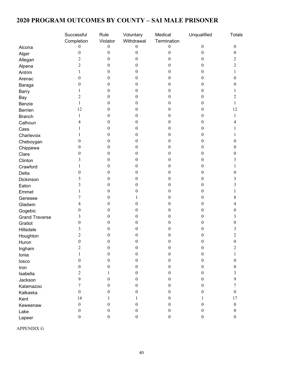# **2020 PROGRAM OUTCOMES BY COUNTY – SAI MALE PRISONER**

|                       | Successful       | Rule             | Voluntary        | Medical          | Unqualified      | <b>Totals</b>    |
|-----------------------|------------------|------------------|------------------|------------------|------------------|------------------|
|                       | Completion       | Violator         | Withdrawal       | Termination      |                  |                  |
| Alcona                | $\theta$         | $\boldsymbol{0}$ | $\boldsymbol{0}$ | $\boldsymbol{0}$ | $\boldsymbol{0}$ | $\mathbf{0}$     |
| Alger                 | $\boldsymbol{0}$ | 0                | $\boldsymbol{0}$ | 0                | $\boldsymbol{0}$ | $\boldsymbol{0}$ |
| Allegan               | 2                | 0                | $\theta$         | 0                | 0                | 2                |
| Alpena                | 2                | 0                | 0                | 0                | 0                | $\overline{c}$   |
| Antrim                |                  | 0                | 0                | 0                | 0                |                  |
| Arenac                | $\theta$         | 0                | $\theta$         | 0                | 0                | 0                |
| Baraga                | $\theta$         | 0                | 0                | 0                | 0                | $^{(1)}$         |
| <b>Barry</b>          |                  | 0                | $\theta$         | 0                | 0                |                  |
| Bay                   | 2                | 0                | $\theta$         | 0                | 0                | 2                |
| Benzie                | 1                | 0                | $\bf{0}$         | 0                | 0                | 1                |
| Berrien               | 12               | 0                | 0                | 0                | 0                | 12               |
| <b>Branch</b>         | 1                | 0                | 0                | 0                | 0                | 1                |
| Calhoun               | 4                | 0                | $\theta$         | 0                | 0                |                  |
| Cass                  |                  | 0                | 0                | 0                | 0                |                  |
| Charlevoix            |                  | 0                | 0                | 0                | 0                |                  |
| Cheboygan             | 0                | 0                | 0                | 0                | 0                |                  |
| Chippewa              | 0                | 0                | $\bf{0}$         | 0                | 0                | $\theta$         |
| Clare                 | 0                | 0                | 0                | 0                | 0                | $\theta$         |
| Clinton               | 3                | 0                | $\theta$         | 0                | 0                |                  |
| Crawford              |                  | 0                | $\boldsymbol{0}$ | 0                | 0                |                  |
| Delta                 | $\theta$         | 0                | $\theta$         | 0                | 0                | $\theta$         |
| Dickinson             | 3                | 0                | $\theta$         | 0                | 0                |                  |
| Eaton                 | 3                | 0                | $\theta$         | $\overline{0}$   | 0                |                  |
| Emmet                 |                  | 0                | 0                | 0                | 0                |                  |
| Genesee               | 7                | 0                |                  | 0                | 0                | 8                |
| Gladwin               |                  | 0                | 0                | 0                | 0                |                  |
| Gogebic               | 0                | 0                | 0                | 0                | 0                | 0                |
| <b>Grand Traverse</b> | 3                | 0                | $\bf{0}$         | 0                | 0                | 3                |
| Gratiot               | 0                | 0                | 0                | 0                | 0                | 0                |
| Hillsdale             | 3                | 0                | 0                | 0                | 0                |                  |
| Houghton              | 2                | 0                | $\theta$         | 0                | 0                | 2                |
| Huron                 | $\boldsymbol{0}$ | $\boldsymbol{0}$ | $\boldsymbol{0}$ | $\boldsymbol{0}$ | $\boldsymbol{0}$ | $\boldsymbol{0}$ |
| Ingham                | 2                | $\boldsymbol{0}$ | $\boldsymbol{0}$ | $\boldsymbol{0}$ | $\boldsymbol{0}$ | 2                |
| Ionia                 | 1                | $\boldsymbol{0}$ | $\boldsymbol{0}$ | $\boldsymbol{0}$ | $\boldsymbol{0}$ |                  |
| losco                 | $\boldsymbol{0}$ | $\boldsymbol{0}$ | $\boldsymbol{0}$ | 0                | $\boldsymbol{0}$ | $\boldsymbol{0}$ |
| Iron                  | $\theta$         | 0                | $\theta$         | 0                | $\mathbf{0}$     | 0                |
|                       | 2                | 1                | $\theta$         | $\boldsymbol{0}$ | $\boldsymbol{0}$ | 3                |
| Isabella              | 9                | 0                | $\boldsymbol{0}$ | 0                | $\boldsymbol{0}$ | 9                |
| Jackson               | 7                | 0                | $\theta$         | 0                | $\boldsymbol{0}$ | 7                |
| Kalamazoo             | $\mathbf{0}$     |                  |                  |                  |                  | $\overline{0}$   |
| Kalkaska              | 14               | 0<br>1           | $\theta$         | 0                | 0                | 17               |
| Kent                  |                  |                  | 1                | 0                | 1                |                  |
| Keweenaw              | $\boldsymbol{0}$ | $\boldsymbol{0}$ | $\boldsymbol{0}$ | $\boldsymbol{0}$ | $\boldsymbol{0}$ | $\boldsymbol{0}$ |
| Lake                  | $\boldsymbol{0}$ | 0                | $\mathbf{0}$     | $\boldsymbol{0}$ | $\boldsymbol{0}$ | $\mathbf{0}$     |
| Lapeer                | $\boldsymbol{0}$ | $\boldsymbol{0}$ | $\boldsymbol{0}$ | $\boldsymbol{0}$ | $\boldsymbol{0}$ | $\boldsymbol{0}$ |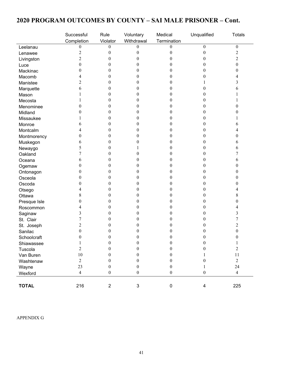# **2020 PROGRAM OUTCOMES BY COUNTY – SAI MALE PRISONER – Cont.**

|              | Successful       | Rule             | Voluntary        | Medical          | Unqualified             | <b>Totals</b>    |
|--------------|------------------|------------------|------------------|------------------|-------------------------|------------------|
|              | Completion       | Violator         | Withdrawal       | Termination      |                         |                  |
| Leelanau     | 0                | $\mathbf{0}$     | 0                | $\boldsymbol{0}$ | $\boldsymbol{0}$        | $\boldsymbol{0}$ |
| Lenawee      | $\overline{c}$   | $\mathbf{0}$     | 0                | 0                | $\boldsymbol{0}$        | $\overline{c}$   |
| Livingston   | $\overline{c}$   | $\theta$         | $_{0}$           |                  | 0                       | $\overline{2}$   |
| Luce         | $\boldsymbol{0}$ | $\Omega$         | 0                |                  | 0                       | $\boldsymbol{0}$ |
| Mackinac     | 0                | $\theta$         | 0                |                  | 0                       | 0                |
| Macomb       | 4                | $\theta$         | $^{(1)}$         |                  | 0                       | 4                |
| Manistee     | 2                | $\theta$         | 0                |                  |                         | 3                |
| Marquette    | 6                | $\overline{0}$   | 0                |                  | 0                       | 6                |
| Mason        |                  | $\bf{0}$         | 0                |                  | 0                       |                  |
| Mecosta      |                  | $\theta$         | $_{0}$           |                  | 0                       |                  |
| Menominee    | 0                | $\theta$         | 0                |                  | 0                       | $\theta$         |
| Midland      | $\theta$         | $\theta$         | 0                | 0                | $\boldsymbol{0}$        | 0                |
| Missaukee    |                  | $\theta$         | 0                |                  | 0                       |                  |
| Monroe       | 6                | $\theta$         | 0                | 0                | 0                       | 6                |
| Montcalm     | 4                | $\bf{0}$         | 0                | 0                | 0                       | 4                |
| Montmorency  | 0                | $\bf{0}$         | 0                |                  | 0                       | 0                |
| Muskegon     | 6                | $\theta$         | 0                |                  | 0                       | 6                |
| Newaygo      | 5                | $\theta$         |                  |                  | 0                       | 6                |
| Oakland      | 7                | $\theta$         | 0                |                  | 0                       | 7                |
| Oceana       | 6                | $\theta$         | 0                |                  | 0                       | 6                |
| Ogemaw       | $\boldsymbol{0}$ | $\theta$         | 0                | 0                | 0                       | $\mathbf{0}$     |
| Ontonagon    | 0                | $\bf{0}$         | 0                |                  | 0                       | 0                |
| Osceola      | 0                | $\overline{0}$   | $_{0}$           |                  | 0                       | 0                |
| Oscoda       | $\boldsymbol{0}$ | $\theta$         | $_{0}$           |                  | 0                       | $\theta$         |
| Otsego       | 4                | $\bf{0}$         | 0                | 0                | $\boldsymbol{0}$        | 4                |
| Ottawa       | 8                | $\theta$         | $_{0}$           | 0                | 0                       | 8                |
| Presque Isle | 0                | $\theta$         | 0                | 0                | 0                       | $\mathbf{0}$     |
| Roscommon    | 4                | $\theta$         | 0                |                  | 0                       | 4                |
| Saginaw      | 3                | $\theta$         |                  |                  | 0                       | 3                |
| St. Clair    | 7                | $\theta$         |                  |                  | 0                       | 7                |
| St. Joseph   | 2                | $^{(1)}$         |                  |                  | 0                       | $\overline{c}$   |
| Sanilac      | 0                | $_{0}$           |                  |                  | 0                       | $\mathbf{0}$     |
| Schoolcraft  | $\Omega$         | ∩                | 0                | ∩                | 0                       | 0                |
| Shiawassee   | 1                | $\mathbf{0}$     | $\boldsymbol{0}$ | $\boldsymbol{0}$ | $\boldsymbol{0}$        | 1                |
| Tuscola      | $\overline{c}$   | $\mathbf{0}$     | $\mathbf{0}$     | $\boldsymbol{0}$ | $\boldsymbol{0}$        | $\overline{2}$   |
| Van Buren    | 10               | $\mathbf{0}$     | 0                | 0                |                         | 11               |
| Washtenaw    | $\mathbf{2}$     | $\mathbf{0}$     | 0                | 0                | 0                       | $\overline{2}$   |
| Wayne        | 23               | $\mathbf{0}$     | 0                | $\theta$         |                         | 24               |
| Wexford      | $\overline{4}$   | $\boldsymbol{0}$ | $\boldsymbol{0}$ | $\boldsymbol{0}$ | $\boldsymbol{0}$        | $\overline{4}$   |
|              |                  |                  |                  |                  |                         |                  |
| <b>TOTAL</b> | 216              | $\overline{2}$   | $\mathfrak{S}$   | $\pmb{0}$        | $\overline{\mathbf{4}}$ | 225              |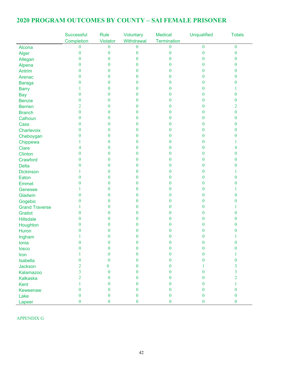# **2020 PROGRAM OUTCOMES BY COUNTY – SAI FEMALE PRISONER**

|                       | Successful       | <b>Rule</b>    | Voluntary        | <b>Medical</b>   | <b>Unqualified</b> | <b>Totals</b>    |
|-----------------------|------------------|----------------|------------------|------------------|--------------------|------------------|
|                       | Completion       | Violator       | Withdrawal       | Termination      |                    |                  |
| Alcona                | $\bf{0}$         | $\bf{0}$       | $\boldsymbol{0}$ | $\boldsymbol{0}$ | $\bf{0}$           | $\overline{0}$   |
| Alger                 | $\boldsymbol{0}$ | $\mathbf{0}$   | $\boldsymbol{0}$ | 0                | $\mathbf{0}$       | $\bf{0}$         |
| Allegan               | $\overline{0}$   | 0              | $\overline{0}$   | $\theta$         | 0                  | 0                |
| Alpena                | $\overline{0}$   | 0              | $\bf{0}$         | $\Omega$         | 0                  | $\bf{0}$         |
| Antrim                | $\overline{0}$   | 0              | $\boldsymbol{0}$ | $\theta$         | 0                  | $\bf{0}$         |
| Arenac                | $\overline{0}$   | $\theta$       | $\boldsymbol{0}$ | $\theta$         | 0                  | $\bf{0}$         |
| <b>Baraga</b>         | $\overline{0}$   | $\theta$       | $\bf{0}$         | $\theta$         | 0                  | 0                |
| <b>Barry</b>          |                  | 0              | $\boldsymbol{0}$ | $\bf{0}$         | 0                  |                  |
| <b>Bay</b>            | $\boldsymbol{0}$ | 0              | $\boldsymbol{0}$ | 0                | 0                  | $\bf{0}$         |
| <b>Benzie</b>         | $\bf{0}$         | 0              | $\bf{0}$         | $\theta$         | 0                  | 0                |
| <b>Berrien</b>        | 2                | 0              | $\bf{0}$         | 0                | 0                  | 2                |
| <b>Branch</b>         | $\boldsymbol{0}$ | 0              | $\bf{0}$         | $\theta$         | 0                  | $\overline{0}$   |
| Calhoun               | $\bf{0}$         | $\theta$       | $\boldsymbol{0}$ | $\theta$         | 0                  | $\bf{0}$         |
| Cass                  | $\bf{0}$         | $\theta$       | $\boldsymbol{0}$ | $\theta$         | 0                  | $\bf{0}$         |
| Charlevoix            | $\bf{0}$         | 0              | $\bf{0}$         | $\bf{0}$         | 0                  | 0                |
| Cheboygan             | $\boldsymbol{0}$ | 0              | $\bf{0}$         | 0                | 0                  | 0                |
| Chippewa              |                  | 0              | $\bf{0}$         | $\theta$         | 0                  |                  |
| Clare                 | 4                | 0              | $\mathbf{0}$     | $\Omega$         | 0                  | 4                |
| <b>Clinton</b>        | $\overline{0}$   | 0              | $\bf{0}$         | $\theta$         | 0                  | 0                |
| Crawford              | $\overline{0}$   | $\theta$       | $\bf{0}$         | $\theta$         | 0                  | 0                |
| <b>Delta</b>          | $\theta$         | $\theta$       | $\bf{0}$         | $\theta$         | 0                  | 0                |
| <b>Dickinson</b>      |                  | 0              | $\boldsymbol{0}$ | 0                | 0                  |                  |
| Eaton                 | 0                | 0              | $\boldsymbol{0}$ | 0                | 0                  | 0                |
| <b>Emmet</b>          | 0                | 0              | $\bf{0}$         | $\theta$         | 0                  | 0                |
| Genesee               |                  | 0              | $\bf{0}$         | 0                | 0                  |                  |
| Gladwin               | $\bf{0}$         | 0              | $\bf{0}$         | $\theta$         | 0                  | $\bf{0}$         |
| Gogebic               | $\overline{0}$   | $\overline{0}$ | $\bf{0}$         | $\theta$         | 0                  | 0                |
| <b>Grand Traverse</b> |                  | $\overline{0}$ | $\boldsymbol{0}$ | $\theta$         | 0                  |                  |
| Gratiot               | $\theta$         | $\theta$       | $\boldsymbol{0}$ | $\theta$         | 0                  | $\bf{0}$         |
| <b>Hillsdale</b>      | 0                | 0              | $\bf{0}$         | 0                | 0                  | 0                |
| Houghton              | $\bf{0}$         | 0              | $\bf{0}$         | 0                | 0                  | $^{(1)}$         |
| Huron                 | $\theta$         | $\theta$       | $\theta$         | 0                | 0                  | 0                |
| Ingham                |                  | 0              | $\Omega$         | $\Omega$         | 0                  |                  |
| Ionia                 | $\theta$         | $\overline{0}$ | $\bf{0}$         | $\bf{0}$         | $\mathbf{0}$       | $\theta$         |
| losco                 | $\overline{0}$   | $\theta$       | $\boldsymbol{0}$ | $\theta$         | $\Omega$           | $\theta$         |
| Iron                  |                  | $\theta$       | $\boldsymbol{0}$ | $\bf{0}$         | $\theta$           | 1                |
| <b>Isabella</b>       | 0                | $\mathbf{0}$   | $\boldsymbol{0}$ | $\theta$         | 0                  | $\mathbf{0}$     |
| Jackson               | 2                | $\mathbf{0}$   | $\mathbf{0}$     | $\theta$         |                    | $\overline{3}$   |
| Kalamazoo             | $\overline{3}$   | $\theta$       | $\boldsymbol{0}$ | $\Omega$         | 0                  | $\overline{3}$   |
| <b>Kalkaska</b>       | $\overline{2}$   | 0              | $\boldsymbol{0}$ | 0                | 0                  | $\overline{2}$   |
| Kent                  |                  | $\mathbf{0}$   | $\boldsymbol{0}$ | $\Omega$         | 0                  | 1                |
| Keweenaw              | $\theta$         | $\overline{0}$ | $\boldsymbol{0}$ | $\theta$         | $\theta$           | $\overline{0}$   |
| Lake                  | $\boldsymbol{0}$ | $\mathbf{0}$   | $\boldsymbol{0}$ | $\boldsymbol{0}$ | $\mathbf{0}$       | $\boldsymbol{0}$ |
| Lapeer                | $\boldsymbol{0}$ | $\bf{0}$       | $\bf{0}$         | $\boldsymbol{0}$ | $\bf{0}$           | $\overline{0}$   |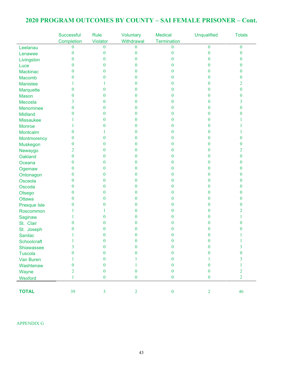## **2020 PROGRAM OUTCOMES BY COUNTY – SAI FEMALE PRISONER – Cont.**

|                  | Successful   | Rule             | Voluntary        | <b>Medical</b>   | <b>Unqualified</b> | <b>Totals</b>    |
|------------------|--------------|------------------|------------------|------------------|--------------------|------------------|
|                  | Completion   | Violator         | Withdrawal       | Termination      |                    |                  |
| Leelanau         | $\theta$     | $\mathbf{0}$     | 0                | $\theta$         | $\theta$           | $\boldsymbol{0}$ |
| Lenawee          | $\mathbf{0}$ | $\mathbf{0}$     | $\bf{0}$         | $\theta$         | 0                  | 0                |
| Livingston       | $\mathbf{0}$ | $\mathbf{0}$     | 0                | 0                | 0                  | 0                |
| Luce             | $\theta$     | $\theta$         | 0                | $\theta$         | 0                  | 0                |
| <b>Mackinac</b>  | $\theta$     | $\bf{0}$         | 0                | $\theta$         | 0                  | 0                |
| Macomb           | $\theta$     | $\bf{0}$         | 0                | 0                | 0                  | 0                |
| <b>Manistee</b>  |              |                  | 0                | 0                | 0                  | 2                |
| Marquette        | $\theta$     | $\mathbf{0}$     | 0                | 0                | 0                  | 0                |
| <b>Mason</b>     | $\theta$     | $\theta$         | 0                | 0                | $\bf{0}$           | 0                |
| Mecosta          | 3            | $\mathbf{0}$     | 0                | $\theta$         | 0                  | 3                |
| Menominee        | $\bf{0}$     | $\mathbf{0}$     | 0                | 0                | 0                  | 0                |
| <b>Midland</b>   | $\Omega$     | $\mathbf{0}$     | 0                | 0                | 0                  | 0                |
| <b>Missaukee</b> |              | $\mathbf{0}$     | 0                | 0                | 0                  |                  |
| <b>Monroe</b>    |              | $\theta$         | 0                | 0                | 0                  |                  |
| Montcalm         | $\theta$     |                  | 0                | 0                | 0                  |                  |
| Montmorency      | $\theta$     | $\theta$         | 0                | 0                | 0                  | 0                |
| Muskegon         | $\theta$     | $\theta$         | 0                | 0                | 0                  | 0                |
| Newaygo          | 2            | $\bf{0}$         | 0                | 0                | 0                  | 2                |
| Oakland          | $\mathbf{0}$ | $\bf{0}$         | 0                | 0                | $\bf{0}$           | 0                |
| Oceana           | $\theta$     | $\mathbf{0}$     | 0                | $\theta$         | 0                  | 0                |
| Ogemaw           | $\theta$     | $\mathbf{0}$     | 0                | $\theta$         | $\bf{0}$           | 0                |
| Ontonagon        | $\theta$     | $\mathbf{0}$     | 0                | $\theta$         | 0                  | 0                |
| Osceola          | $\mathbf{0}$ | $\mathbf{0}$     | 0                | 0                | 0                  | 0                |
| Oscoda           | $\mathbf{0}$ | $\bf{0}$         | 0                | 0                | 0                  | 0                |
| Otsego           | $\theta$     | $\theta$         | 0                | $\theta$         | 0                  | 0                |
| <b>Ottawa</b>    | $\theta$     | $\mathbf{0}$     | 0                | $\theta$         | 0                  | 0                |
| Presque Isle     | $\theta$     | $\theta$         | 0                | 0                | 0                  | 0                |
| Roscommon        |              |                  | 0                | 0                | 0                  | 2                |
| Saginaw          |              | $\bf{0}$         | 0                | 0                | 0                  |                  |
| St. Clair        | $\theta$     | $\mathbf{0}$     | 0                | 0                | 0                  | 0                |
| St. Joseph       | $\theta$     | $\bf{0}$         | 0                | 0                | 0                  | 0                |
| Sanilac          |              | $\theta$         | 0                | $\overline{0}$   | $\bf{0}$           |                  |
| Schoolcraft      | 1            | $\boldsymbol{0}$ | $\boldsymbol{0}$ | $\boldsymbol{0}$ | $\mathbf{0}$       | 1                |
| Shiawassee       | 3            | $\mathbf{0}$     | $\theta$         | $\mathbf{0}$     | $\theta$           | 3                |
| <b>Tuscola</b>   | $\Omega$     | $\theta$         | 0                | $\bf{0}$         | 0                  | $\theta$         |
| Van Buren        |              | $\theta$         |                  | 0                |                    | 3                |
| Washtenaw        | $\theta$     | $\mathbf{0}$     |                  | $\theta$         | $\Omega$           |                  |
| Wayne            | 2            | $\theta$         | $\theta$         | $\mathbf{0}$     | $\theta$           | $\overline{2}$   |
| Wexford          | 1            | $\boldsymbol{0}$ | $\boldsymbol{0}$ | $\boldsymbol{0}$ | $\boldsymbol{0}$   | $\overline{2}$   |
|                  |              |                  |                  |                  |                    |                  |
| <b>TOTAL</b>     | 39           | $\overline{3}$   | $\overline{2}$   | $\boldsymbol{0}$ | $\overline{2}$     | 46               |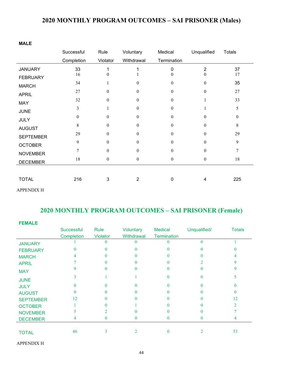# **2020 MONTHLY PROGRAM OUTCOMES – SAI PRISONER (Males)**

#### **MALE**

|                  | Successful   | Rule             | Voluntary        | Medical          | Unqualified      | <b>Totals</b>    |
|------------------|--------------|------------------|------------------|------------------|------------------|------------------|
|                  | Completion   | Violator         | Withdrawal       | Termination      |                  |                  |
| <b>JANUARY</b>   | 33           |                  |                  | 0                | $\overline{2}$   | 37               |
| <b>FEBRUARY</b>  | 16           | $\theta$         |                  | $\theta$         | $\theta$         | 17               |
| <b>MARCH</b>     | 34           |                  | $\theta$         | $\theta$         | $\boldsymbol{0}$ | 35               |
| <b>APRIL</b>     | 27           | $\theta$         | $\mathbf{0}$     | $\theta$         | $\mathbf{0}$     | 27               |
| MAY              | 32           | $\boldsymbol{0}$ | $\boldsymbol{0}$ | $\boldsymbol{0}$ |                  | 33               |
| <b>JUNE</b>      | 3            | 1                | $\boldsymbol{0}$ | $\Omega$         | 1                | 5                |
| <b>JULY</b>      | $\mathbf{0}$ | $\theta$         | $\boldsymbol{0}$ | $\theta$         | $\theta$         | $\boldsymbol{0}$ |
| <b>AUGUST</b>    | 8            | $\boldsymbol{0}$ | $\boldsymbol{0}$ | $\overline{0}$   | $\boldsymbol{0}$ | $8\,$            |
| <b>SEPTEMBER</b> | 29           | $\theta$         | $\boldsymbol{0}$ | $\mathbf{0}$     | $\boldsymbol{0}$ | 29               |
| <b>OCTOBER</b>   | 9            | $\Omega$         | $\theta$         | $\theta$         | $\theta$         | 9                |
| <b>NOVEMBER</b>  | 7            | $\Omega$         | $\boldsymbol{0}$ | $\Omega$         | $\mathbf{0}$     | $\overline{7}$   |
| <b>DECEMBER</b>  | 18           | $\boldsymbol{0}$ | $\boldsymbol{0}$ | $\boldsymbol{0}$ | $\boldsymbol{0}$ | 18               |
|                  |              |                  |                  |                  |                  |                  |
| <b>TOTAL</b>     | 216          | 3                | $\overline{2}$   | $\mathbf 0$      | 4                | 225              |

APPENDIX H

# **2020 MONTHLY PROGRAM OUTCOMES – SAI PRISONER (Female)**

| <b>FEMALE</b>    |                   |                 |            |                    |              |               |
|------------------|-------------------|-----------------|------------|--------------------|--------------|---------------|
|                  | <b>Successful</b> | Rule            | Voluntary  | <b>Medical</b>     | Unqualified/ | <b>Totals</b> |
|                  | Completion        | <b>Violator</b> | Withdrawal | <b>Termination</b> |              |               |
| <b>JANUARY</b>   |                   |                 |            |                    | $\Omega$     |               |
| <b>FEBRUARY</b>  |                   |                 |            |                    |              |               |
| <b>MARCH</b>     | 4                 |                 |            |                    |              |               |
| <b>APRIL</b>     |                   |                 |            |                    |              |               |
| <b>MAY</b>       |                   |                 |            |                    |              |               |
| <b>JUNE</b>      |                   |                 |            |                    |              |               |
| <b>JULY</b>      |                   |                 |            |                    |              |               |
| <b>AUGUST</b>    |                   |                 |            |                    |              |               |
| <b>SEPTEMBER</b> | 12                |                 |            |                    |              | 12            |
| <b>OCTOBER</b>   |                   |                 |            |                    |              |               |
| <b>NOVEMBER</b>  |                   |                 |            |                    |              |               |
| <b>DECEMBER</b>  | 4                 | 0               |            |                    |              |               |
|                  |                   |                 |            |                    |              |               |
| <b>TOTAL</b>     | 46                |                 |            |                    |              | 53            |

APPENDIX H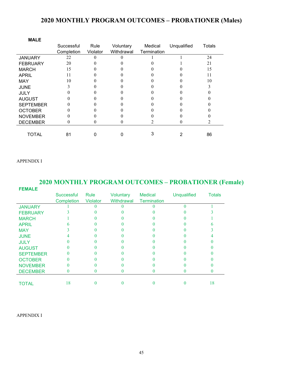#### **2020 MONTHLY PROGRAM OUTCOMES – PROBATIONER (Males)**

| <b>MALE</b>      |            |          |            |             |             |        |
|------------------|------------|----------|------------|-------------|-------------|--------|
|                  | Successful | Rule     | Voluntary  | Medical     | Unqualified | Totals |
|                  | Completion | Violator | Withdrawal | Termination |             |        |
| <b>JANUARY</b>   | 22         | 0        |            |             |             | 24     |
| <b>FEBRUARY</b>  | 20         |          |            |             |             | 21     |
| <b>MARCH</b>     | 15         |          |            |             |             | 15     |
| <b>APRIL</b>     | 11         |          |            |             |             | 11     |
| <b>MAY</b>       | 10         |          |            |             |             | 10     |
| <b>JUNE</b>      |            |          |            |             |             |        |
| <b>JULY</b>      |            |          |            |             |             |        |
| <b>AUGUST</b>    |            |          |            |             |             |        |
| <b>SEPTEMBER</b> |            |          |            |             |             |        |
| <b>OCTOBER</b>   |            |          |            |             |             |        |
| <b>NOVEMBER</b>  |            |          |            |             |             |        |
| <b>DECEMBER</b>  | 0          |          |            |             |             |        |
|                  |            |          |            |             |             |        |
| <b>TOTAL</b>     | 81         |          |            |             |             | 86     |

#### APPENDIX I

#### **2020 MONTHLY PROGRAM OUTCOMES – PROBATIONER (Female) FEMALE** Successful Rule Voluntary Medical Unqualified Totals Completion Violator Withdrawal Termination  $JANUARY$  1 0 0 0 0 1 FEBRUARY 3 0 0 0 0 3<br>MARCH 1 0 0 0 0 1 MARCH  $1 \qquad 0 \qquad 0 \qquad 0 \qquad 0 \qquad 1$ APRIL 6 0 0 0 0 6 MAY 3 0 0 0 0 3  $J\cup$ NE 4 0 0 0 0 0 4  $JULY$  0 0 0 0 0 0  $\mathsf{AUGUST}$  and  $\begin{array}{ccccccc} 0 & 0 & 0 & 0 & 0 \end{array}$ SEPTEMBER 0 0 0 0 0 0 0<br>OCTOBER 0 0 0 0 0 0  $OCTOBER$  0 0 0 0 0 0 NOVEMBER 0 0 0 0 0 0 0<br>DECEMBER 0 0 0 0 0 0 DECEMBER **TOTAL** 18 0 0 0 0 18

APPENDIX I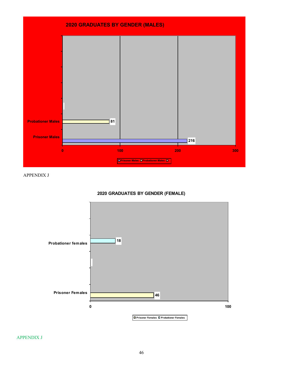

APPENDIX J



#### **2020 GRADUATES BY GENDER (FEMALE)**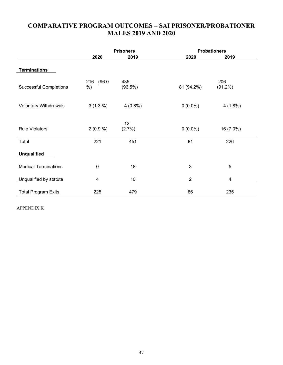### **COMPARATIVE PROGRAM OUTCOMES – SAI PRISONER/PROBATIONER MALES 2019 AND 2020**

|                               | <b>Prisoners</b>        |                | <b>Probationers</b> |                         |  |
|-------------------------------|-------------------------|----------------|---------------------|-------------------------|--|
|                               | 2020                    | 2019           | 2020                | 2019                    |  |
| <b>Terminations</b>           |                         |                |                     |                         |  |
| <b>Successful Completions</b> | (96.0)<br>216<br>%)     | 435<br>(96.5%) | 81 (94.2%)          | 206<br>$(91.2\%)$       |  |
| <b>Voluntary Withdrawals</b>  | $3(1.3\%)$              | $4(0.8\%)$     | $0(0.0\%)$          | $4(1.8\%)$              |  |
| <b>Rule Violators</b>         | $2(0.9\%)$              | 12<br>(2.7%)   | $0(0.0\%)$          | 16 (7.0%)               |  |
| Total                         | 221                     | 451            | 81                  | 226                     |  |
| <b>Unqualified</b>            |                         |                |                     |                         |  |
| <b>Medical Terminations</b>   | $\mathbf 0$             | 18             | $\mathbf{3}$        | 5                       |  |
| Unqualified by statute        | $\overline{\mathbf{4}}$ | 10             | $\boldsymbol{2}$    | $\overline{\mathbf{4}}$ |  |
| <b>Total Program Exits</b>    | 225                     | 479            | 86                  | 235                     |  |

APPENDIX K